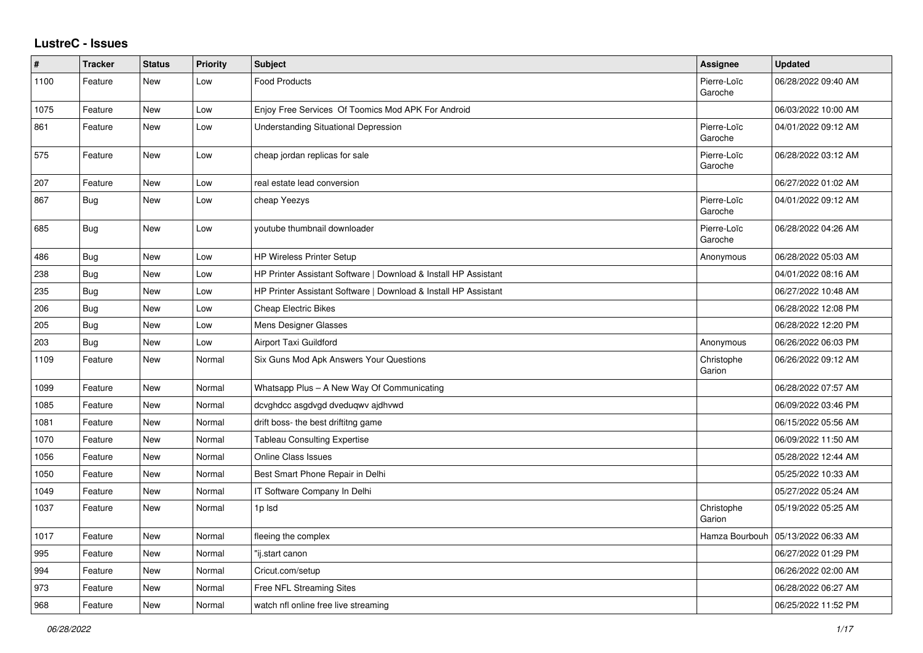## **LustreC - Issues**

| $\vert$ # | <b>Tracker</b> | <b>Status</b> | <b>Priority</b> | <b>Subject</b>                                                  | Assignee               | <b>Updated</b>      |
|-----------|----------------|---------------|-----------------|-----------------------------------------------------------------|------------------------|---------------------|
| 1100      | Feature        | New           | Low             | <b>Food Products</b>                                            | Pierre-Loïc<br>Garoche | 06/28/2022 09:40 AM |
| 1075      | Feature        | New           | Low             | Enjoy Free Services Of Toomics Mod APK For Android              |                        | 06/03/2022 10:00 AM |
| 861       | Feature        | New           | Low             | <b>Understanding Situational Depression</b>                     | Pierre-Loïc<br>Garoche | 04/01/2022 09:12 AM |
| 575       | Feature        | New           | Low             | cheap jordan replicas for sale                                  | Pierre-Loïc<br>Garoche | 06/28/2022 03:12 AM |
| 207       | Feature        | New           | Low             | real estate lead conversion                                     |                        | 06/27/2022 01:02 AM |
| 867       | <b>Bug</b>     | New           | Low             | cheap Yeezys                                                    | Pierre-Loïc<br>Garoche | 04/01/2022 09:12 AM |
| 685       | <b>Bug</b>     | New           | Low             | voutube thumbnail downloader                                    | Pierre-Loïc<br>Garoche | 06/28/2022 04:26 AM |
| 486       | Bug            | New           | Low             | <b>HP Wireless Printer Setup</b>                                | Anonymous              | 06/28/2022 05:03 AM |
| 238       | Bug            | New           | Low             | HP Printer Assistant Software   Download & Install HP Assistant |                        | 04/01/2022 08:16 AM |
| 235       | Bug            | New           | Low             | HP Printer Assistant Software   Download & Install HP Assistant |                        | 06/27/2022 10:48 AM |
| 206       | <b>Bug</b>     | New           | Low             | Cheap Electric Bikes                                            |                        | 06/28/2022 12:08 PM |
| 205       | <b>Bug</b>     | New           | Low             | Mens Designer Glasses                                           |                        | 06/28/2022 12:20 PM |
| 203       | <b>Bug</b>     | <b>New</b>    | Low             | Airport Taxi Guildford                                          | Anonymous              | 06/26/2022 06:03 PM |
| 1109      | Feature        | New           | Normal          | Six Guns Mod Apk Answers Your Questions                         | Christophe<br>Garion   | 06/26/2022 09:12 AM |
| 1099      | Feature        | New           | Normal          | Whatsapp Plus - A New Way Of Communicating                      |                        | 06/28/2022 07:57 AM |
| 1085      | Feature        | New           | Normal          | dcvghdcc asgdvgd dveduqwv ajdhvwd                               |                        | 06/09/2022 03:46 PM |
| 1081      | Feature        | <b>New</b>    | Normal          | drift boss- the best driftitng game                             |                        | 06/15/2022 05:56 AM |
| 1070      | Feature        | New           | Normal          | <b>Tableau Consulting Expertise</b>                             |                        | 06/09/2022 11:50 AM |
| 1056      | Feature        | New           | Normal          | <b>Online Class Issues</b>                                      |                        | 05/28/2022 12:44 AM |
| 1050      | Feature        | <b>New</b>    | Normal          | Best Smart Phone Repair in Delhi                                |                        | 05/25/2022 10:33 AM |
| 1049      | Feature        | New           | Normal          | IT Software Company In Delhi                                    |                        | 05/27/2022 05:24 AM |
| 1037      | Feature        | <b>New</b>    | Normal          | 1p lsd                                                          | Christophe<br>Garion   | 05/19/2022 05:25 AM |
| 1017      | Feature        | New           | Normal          | fleeing the complex                                             | Hamza Bourbouh         | 05/13/2022 06:33 AM |
| 995       | Feature        | New           | Normal          | "ij.start canon                                                 |                        | 06/27/2022 01:29 PM |
| 994       | Feature        | New           | Normal          | Cricut.com/setup                                                |                        | 06/26/2022 02:00 AM |
| 973       | Feature        | New           | Normal          | Free NFL Streaming Sites                                        |                        | 06/28/2022 06:27 AM |
| 968       | Feature        | New           | Normal          | watch nfl online free live streaming                            |                        | 06/25/2022 11:52 PM |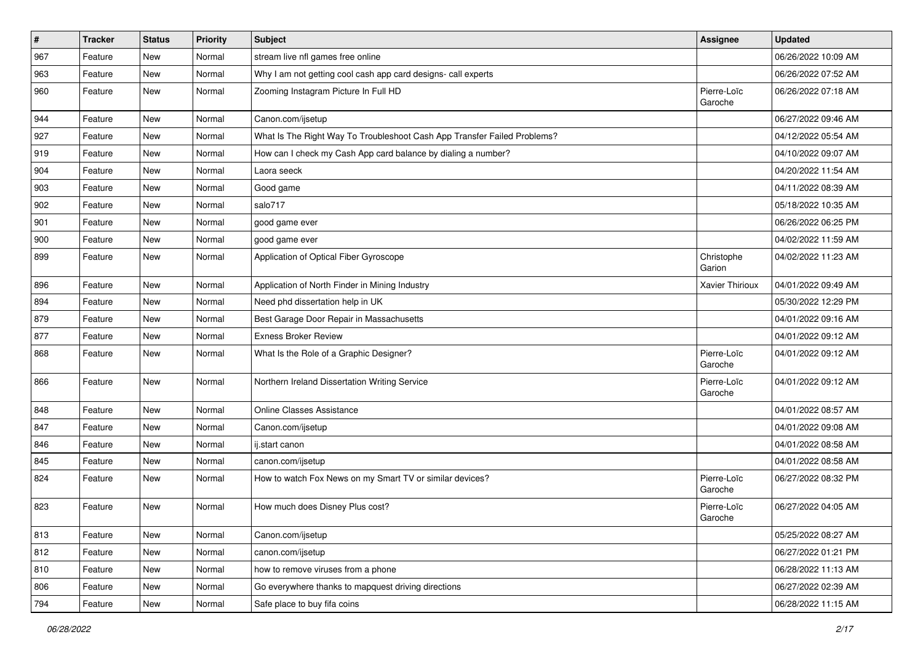| $\sharp$ | <b>Tracker</b> | <b>Status</b> | <b>Priority</b> | Subject                                                                  | <b>Assignee</b>        | <b>Updated</b>      |
|----------|----------------|---------------|-----------------|--------------------------------------------------------------------------|------------------------|---------------------|
| 967      | Feature        | New           | Normal          | stream live nfl games free online                                        |                        | 06/26/2022 10:09 AM |
| 963      | Feature        | New           | Normal          | Why I am not getting cool cash app card designs- call experts            |                        | 06/26/2022 07:52 AM |
| 960      | Feature        | New           | Normal          | Zooming Instagram Picture In Full HD                                     | Pierre-Loïc<br>Garoche | 06/26/2022 07:18 AM |
| 944      | Feature        | New           | Normal          | Canon.com/ijsetup                                                        |                        | 06/27/2022 09:46 AM |
| 927      | Feature        | New           | Normal          | What Is The Right Way To Troubleshoot Cash App Transfer Failed Problems? |                        | 04/12/2022 05:54 AM |
| 919      | Feature        | New           | Normal          | How can I check my Cash App card balance by dialing a number?            |                        | 04/10/2022 09:07 AM |
| 904      | Feature        | New           | Normal          | Laora seeck                                                              |                        | 04/20/2022 11:54 AM |
| 903      | Feature        | New           | Normal          | Good game                                                                |                        | 04/11/2022 08:39 AM |
| 902      | Feature        | New           | Normal          | salo717                                                                  |                        | 05/18/2022 10:35 AM |
| 901      | Feature        | New           | Normal          | good game ever                                                           |                        | 06/26/2022 06:25 PM |
| 900      | Feature        | New           | Normal          | good game ever                                                           |                        | 04/02/2022 11:59 AM |
| 899      | Feature        | New           | Normal          | Application of Optical Fiber Gyroscope                                   | Christophe<br>Garion   | 04/02/2022 11:23 AM |
| 896      | Feature        | New           | Normal          | Application of North Finder in Mining Industry                           | Xavier Thirioux        | 04/01/2022 09:49 AM |
| 894      | Feature        | New           | Normal          | Need phd dissertation help in UK                                         |                        | 05/30/2022 12:29 PM |
| 879      | Feature        | New           | Normal          | Best Garage Door Repair in Massachusetts                                 |                        | 04/01/2022 09:16 AM |
| 877      | Feature        | New           | Normal          | <b>Exness Broker Review</b>                                              |                        | 04/01/2022 09:12 AM |
| 868      | Feature        | New           | Normal          | What Is the Role of a Graphic Designer?                                  | Pierre-Loïc<br>Garoche | 04/01/2022 09:12 AM |
| 866      | Feature        | New           | Normal          | Northern Ireland Dissertation Writing Service                            | Pierre-Loïc<br>Garoche | 04/01/2022 09:12 AM |
| 848      | Feature        | New           | Normal          | <b>Online Classes Assistance</b>                                         |                        | 04/01/2022 08:57 AM |
| 847      | Feature        | New           | Normal          | Canon.com/ijsetup                                                        |                        | 04/01/2022 09:08 AM |
| 846      | Feature        | New           | Normal          | ij.start canon                                                           |                        | 04/01/2022 08:58 AM |
| 845      | Feature        | New           | Normal          | canon.com/ijsetup                                                        |                        | 04/01/2022 08:58 AM |
| 824      | Feature        | New           | Normal          | How to watch Fox News on my Smart TV or similar devices?                 | Pierre-Loïc<br>Garoche | 06/27/2022 08:32 PM |
| 823      | Feature        | New           | Normal          | How much does Disney Plus cost?                                          | Pierre-Loïc<br>Garoche | 06/27/2022 04:05 AM |
| 813      | Feature        | New           | Normal          | Canon.com/ijsetup                                                        |                        | 05/25/2022 08:27 AM |
| 812      | Feature        | New           | Normal          | canon.com/ijsetup                                                        |                        | 06/27/2022 01:21 PM |
| 810      | Feature        | New           | Normal          | how to remove viruses from a phone                                       |                        | 06/28/2022 11:13 AM |
| 806      | Feature        | New           | Normal          | Go everywhere thanks to mapquest driving directions                      |                        | 06/27/2022 02:39 AM |
| 794      | Feature        | New           | Normal          | Safe place to buy fifa coins                                             |                        | 06/28/2022 11:15 AM |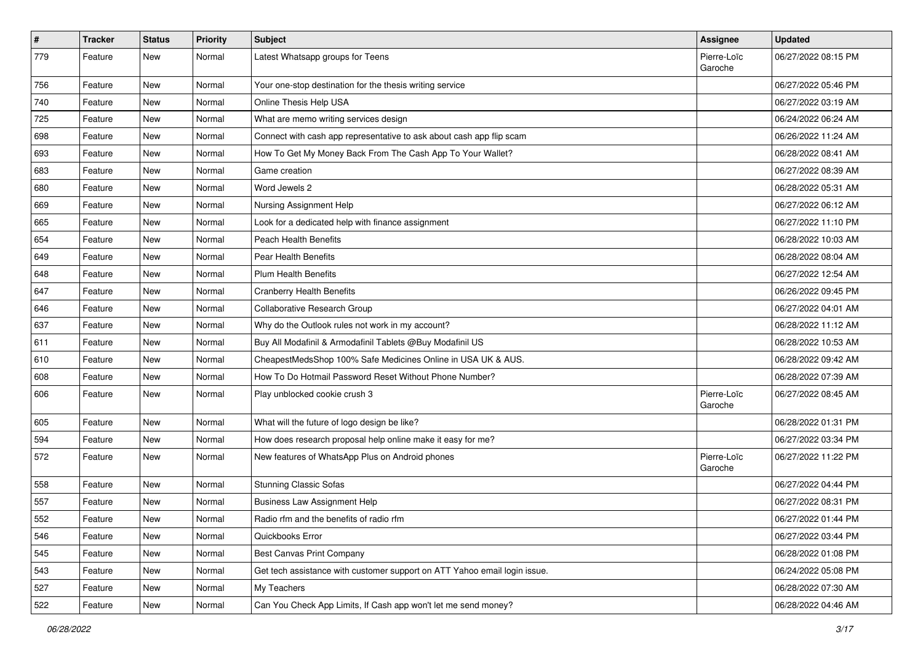| $\vert$ # | <b>Tracker</b> | <b>Status</b> | <b>Priority</b> | Subject                                                                   | <b>Assignee</b>        | <b>Updated</b>      |
|-----------|----------------|---------------|-----------------|---------------------------------------------------------------------------|------------------------|---------------------|
| 779       | Feature        | New           | Normal          | Latest Whatsapp groups for Teens                                          | Pierre-Loïc<br>Garoche | 06/27/2022 08:15 PM |
| 756       | Feature        | <b>New</b>    | Normal          | Your one-stop destination for the thesis writing service                  |                        | 06/27/2022 05:46 PM |
| 740       | Feature        | New           | Normal          | Online Thesis Help USA                                                    |                        | 06/27/2022 03:19 AM |
| 725       | Feature        | New           | Normal          | What are memo writing services design                                     |                        | 06/24/2022 06:24 AM |
| 698       | Feature        | New           | Normal          | Connect with cash app representative to ask about cash app flip scam      |                        | 06/26/2022 11:24 AM |
| 693       | Feature        | New           | Normal          | How To Get My Money Back From The Cash App To Your Wallet?                |                        | 06/28/2022 08:41 AM |
| 683       | Feature        | New           | Normal          | Game creation                                                             |                        | 06/27/2022 08:39 AM |
| 680       | Feature        | New           | Normal          | Word Jewels 2                                                             |                        | 06/28/2022 05:31 AM |
| 669       | Feature        | <b>New</b>    | Normal          | Nursing Assignment Help                                                   |                        | 06/27/2022 06:12 AM |
| 665       | Feature        | New           | Normal          | Look for a dedicated help with finance assignment                         |                        | 06/27/2022 11:10 PM |
| 654       | Feature        | New           | Normal          | <b>Peach Health Benefits</b>                                              |                        | 06/28/2022 10:03 AM |
| 649       | Feature        | New           | Normal          | Pear Health Benefits                                                      |                        | 06/28/2022 08:04 AM |
| 648       | Feature        | New           | Normal          | <b>Plum Health Benefits</b>                                               |                        | 06/27/2022 12:54 AM |
| 647       | Feature        | New           | Normal          | <b>Cranberry Health Benefits</b>                                          |                        | 06/26/2022 09:45 PM |
| 646       | Feature        | New           | Normal          | Collaborative Research Group                                              |                        | 06/27/2022 04:01 AM |
| 637       | Feature        | New           | Normal          | Why do the Outlook rules not work in my account?                          |                        | 06/28/2022 11:12 AM |
| 611       | Feature        | New           | Normal          | Buy All Modafinil & Armodafinil Tablets @Buy Modafinil US                 |                        | 06/28/2022 10:53 AM |
| 610       | Feature        | New           | Normal          | CheapestMedsShop 100% Safe Medicines Online in USA UK & AUS.              |                        | 06/28/2022 09:42 AM |
| 608       | Feature        | New           | Normal          | How To Do Hotmail Password Reset Without Phone Number?                    |                        | 06/28/2022 07:39 AM |
| 606       | Feature        | New           | Normal          | Play unblocked cookie crush 3                                             | Pierre-Loïc<br>Garoche | 06/27/2022 08:45 AM |
| 605       | Feature        | <b>New</b>    | Normal          | What will the future of logo design be like?                              |                        | 06/28/2022 01:31 PM |
| 594       | Feature        | New           | Normal          | How does research proposal help online make it easy for me?               |                        | 06/27/2022 03:34 PM |
| 572       | Feature        | New           | Normal          | New features of WhatsApp Plus on Android phones                           | Pierre-Loïc<br>Garoche | 06/27/2022 11:22 PM |
| 558       | Feature        | New           | Normal          | <b>Stunning Classic Sofas</b>                                             |                        | 06/27/2022 04:44 PM |
| 557       | Feature        | New           | Normal          | <b>Business Law Assignment Help</b>                                       |                        | 06/27/2022 08:31 PM |
| 552       | Feature        | New           | Normal          | Radio rfm and the benefits of radio rfm                                   |                        | 06/27/2022 01:44 PM |
| 546       | Feature        | New           | Normal          | Quickbooks Error                                                          |                        | 06/27/2022 03:44 PM |
| 545       | Feature        | <b>New</b>    | Normal          | Best Canvas Print Company                                                 |                        | 06/28/2022 01:08 PM |
| 543       | Feature        | New           | Normal          | Get tech assistance with customer support on ATT Yahoo email login issue. |                        | 06/24/2022 05:08 PM |
| 527       | Feature        | New           | Normal          | My Teachers                                                               |                        | 06/28/2022 07:30 AM |
| 522       | Feature        | New           | Normal          | Can You Check App Limits, If Cash app won't let me send money?            |                        | 06/28/2022 04:46 AM |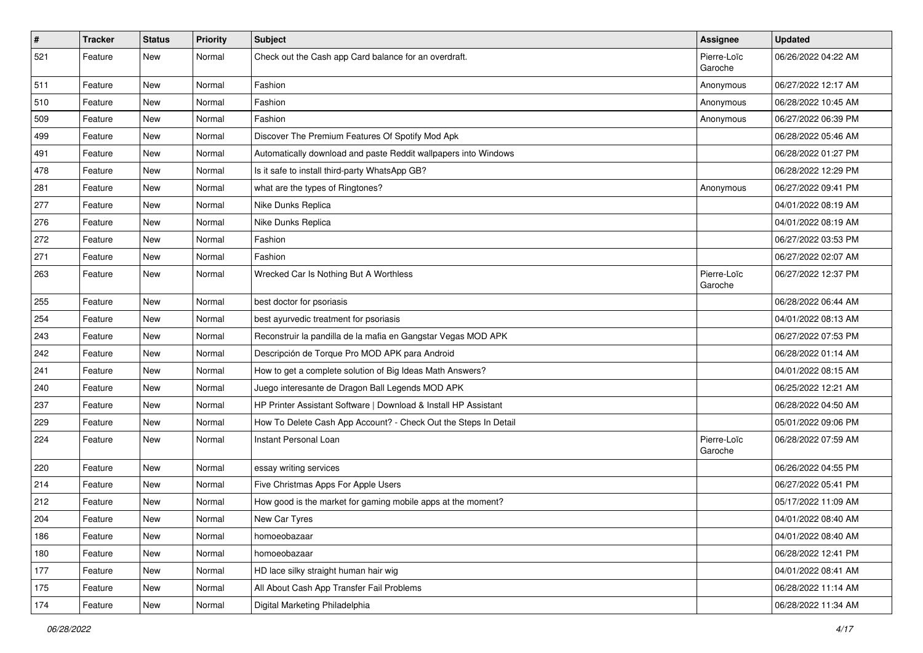| $\vert$ # | <b>Tracker</b> | <b>Status</b> | <b>Priority</b> | Subject                                                         | <b>Assignee</b>        | <b>Updated</b>      |
|-----------|----------------|---------------|-----------------|-----------------------------------------------------------------|------------------------|---------------------|
| 521       | Feature        | New           | Normal          | Check out the Cash app Card balance for an overdraft.           | Pierre-Loïc<br>Garoche | 06/26/2022 04:22 AM |
| 511       | Feature        | New           | Normal          | Fashion                                                         | Anonymous              | 06/27/2022 12:17 AM |
| 510       | Feature        | New           | Normal          | Fashion                                                         | Anonymous              | 06/28/2022 10:45 AM |
| 509       | Feature        | New           | Normal          | Fashion                                                         | Anonymous              | 06/27/2022 06:39 PM |
| 499       | Feature        | New           | Normal          | Discover The Premium Features Of Spotify Mod Apk                |                        | 06/28/2022 05:46 AM |
| 491       | Feature        | New           | Normal          | Automatically download and paste Reddit wallpapers into Windows |                        | 06/28/2022 01:27 PM |
| 478       | Feature        | New           | Normal          | Is it safe to install third-party WhatsApp GB?                  |                        | 06/28/2022 12:29 PM |
| 281       | Feature        | New           | Normal          | what are the types of Ringtones?                                | Anonymous              | 06/27/2022 09:41 PM |
| 277       | Feature        | <b>New</b>    | Normal          | Nike Dunks Replica                                              |                        | 04/01/2022 08:19 AM |
| 276       | Feature        | New           | Normal          | Nike Dunks Replica                                              |                        | 04/01/2022 08:19 AM |
| 272       | Feature        | New           | Normal          | Fashion                                                         |                        | 06/27/2022 03:53 PM |
| 271       | Feature        | New           | Normal          | Fashion                                                         |                        | 06/27/2022 02:07 AM |
| 263       | Feature        | New           | Normal          | Wrecked Car Is Nothing But A Worthless                          | Pierre-Loïc<br>Garoche | 06/27/2022 12:37 PM |
| 255       | Feature        | New           | Normal          | best doctor for psoriasis                                       |                        | 06/28/2022 06:44 AM |
| 254       | Feature        | New           | Normal          | best ayurvedic treatment for psoriasis                          |                        | 04/01/2022 08:13 AM |
| 243       | Feature        | New           | Normal          | Reconstruir la pandilla de la mafia en Gangstar Vegas MOD APK   |                        | 06/27/2022 07:53 PM |
| 242       | Feature        | New           | Normal          | Descripción de Torque Pro MOD APK para Android                  |                        | 06/28/2022 01:14 AM |
| 241       | Feature        | New           | Normal          | How to get a complete solution of Big Ideas Math Answers?       |                        | 04/01/2022 08:15 AM |
| 240       | Feature        | New           | Normal          | Juego interesante de Dragon Ball Legends MOD APK                |                        | 06/25/2022 12:21 AM |
| 237       | Feature        | New           | Normal          | HP Printer Assistant Software   Download & Install HP Assistant |                        | 06/28/2022 04:50 AM |
| 229       | Feature        | <b>New</b>    | Normal          | How To Delete Cash App Account? - Check Out the Steps In Detail |                        | 05/01/2022 09:06 PM |
| 224       | Feature        | New           | Normal          | Instant Personal Loan                                           | Pierre-Loïc<br>Garoche | 06/28/2022 07:59 AM |
| 220       | Feature        | New           | Normal          | essay writing services                                          |                        | 06/26/2022 04:55 PM |
| 214       | Feature        | New           | Normal          | Five Christmas Apps For Apple Users                             |                        | 06/27/2022 05:41 PM |
| 212       | Feature        | New           | Normal          | How good is the market for gaming mobile apps at the moment?    |                        | 05/17/2022 11:09 AM |
| 204       | Feature        | New           | Normal          | New Car Tyres                                                   |                        | 04/01/2022 08:40 AM |
| 186       | Feature        | New           | Normal          | homoeobazaar                                                    |                        | 04/01/2022 08:40 AM |
| 180       | Feature        | New           | Normal          | homoeobazaar                                                    |                        | 06/28/2022 12:41 PM |
| 177       | Feature        | New           | Normal          | HD lace silky straight human hair wig                           |                        | 04/01/2022 08:41 AM |
| 175       | Feature        | New           | Normal          | All About Cash App Transfer Fail Problems                       |                        | 06/28/2022 11:14 AM |
| 174       | Feature        | New           | Normal          | Digital Marketing Philadelphia                                  |                        | 06/28/2022 11:34 AM |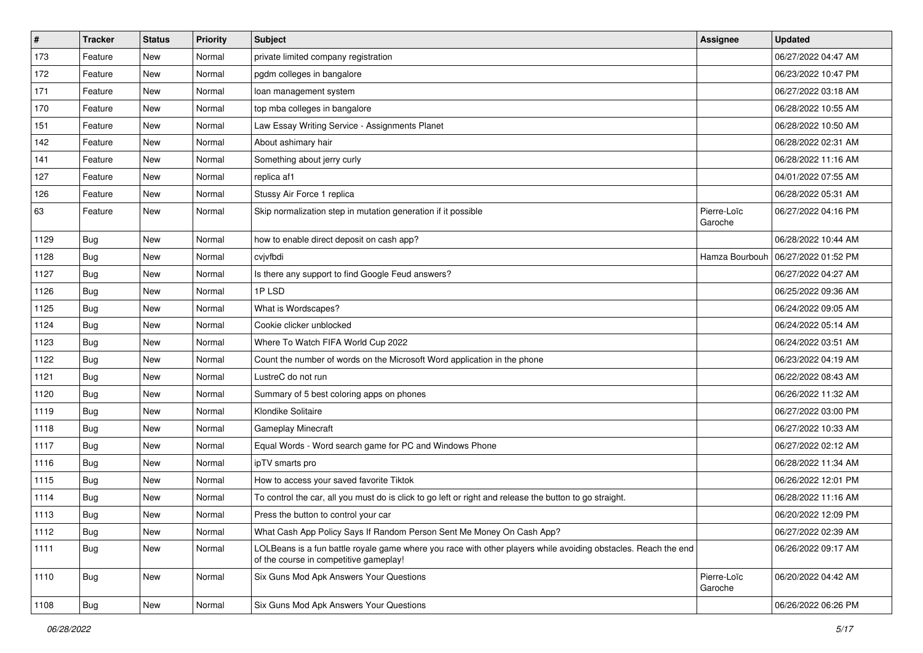| $\sharp$ | Tracker    | <b>Status</b> | <b>Priority</b> | Subject                                                                                                                                                  | <b>Assignee</b>        | <b>Updated</b>      |
|----------|------------|---------------|-----------------|----------------------------------------------------------------------------------------------------------------------------------------------------------|------------------------|---------------------|
| 173      | Feature    | New           | Normal          | private limited company registration                                                                                                                     |                        | 06/27/2022 04:47 AM |
| 172      | Feature    | New           | Normal          | pgdm colleges in bangalore                                                                                                                               |                        | 06/23/2022 10:47 PM |
| 171      | Feature    | New           | Normal          | loan management system                                                                                                                                   |                        | 06/27/2022 03:18 AM |
| 170      | Feature    | New           | Normal          | top mba colleges in bangalore                                                                                                                            |                        | 06/28/2022 10:55 AM |
| 151      | Feature    | New           | Normal          | Law Essay Writing Service - Assignments Planet                                                                                                           |                        | 06/28/2022 10:50 AM |
| 142      | Feature    | New           | Normal          | About ashimary hair                                                                                                                                      |                        | 06/28/2022 02:31 AM |
| 141      | Feature    | New           | Normal          | Something about jerry curly                                                                                                                              |                        | 06/28/2022 11:16 AM |
| 127      | Feature    | New           | Normal          | replica af1                                                                                                                                              |                        | 04/01/2022 07:55 AM |
| 126      | Feature    | New           | Normal          | Stussy Air Force 1 replica                                                                                                                               |                        | 06/28/2022 05:31 AM |
| 63       | Feature    | New           | Normal          | Skip normalization step in mutation generation if it possible                                                                                            | Pierre-Loïc<br>Garoche | 06/27/2022 04:16 PM |
| 1129     | <b>Bug</b> | New           | Normal          | how to enable direct deposit on cash app?                                                                                                                |                        | 06/28/2022 10:44 AM |
| 1128     | <b>Bug</b> | New           | Normal          | cvivfbdi                                                                                                                                                 | Hamza Bourbouh         | 06/27/2022 01:52 PM |
| 1127     | Bug        | New           | Normal          | Is there any support to find Google Feud answers?                                                                                                        |                        | 06/27/2022 04:27 AM |
| 1126     | Bug        | New           | Normal          | 1PLSD                                                                                                                                                    |                        | 06/25/2022 09:36 AM |
| 1125     | Bug        | New           | Normal          | What is Wordscapes?                                                                                                                                      |                        | 06/24/2022 09:05 AM |
| 1124     | <b>Bug</b> | New           | Normal          | Cookie clicker unblocked                                                                                                                                 |                        | 06/24/2022 05:14 AM |
| 1123     | Bug        | New           | Normal          | Where To Watch FIFA World Cup 2022                                                                                                                       |                        | 06/24/2022 03:51 AM |
| 1122     | <b>Bug</b> | New           | Normal          | Count the number of words on the Microsoft Word application in the phone                                                                                 |                        | 06/23/2022 04:19 AM |
| 1121     | <b>Bug</b> | New           | Normal          | LustreC do not run                                                                                                                                       |                        | 06/22/2022 08:43 AM |
| 1120     | <b>Bug</b> | New           | Normal          | Summary of 5 best coloring apps on phones                                                                                                                |                        | 06/26/2022 11:32 AM |
| 1119     | <b>Bug</b> | New           | Normal          | Klondike Solitaire                                                                                                                                       |                        | 06/27/2022 03:00 PM |
| 1118     | Bug        | New           | Normal          | <b>Gameplay Minecraft</b>                                                                                                                                |                        | 06/27/2022 10:33 AM |
| 1117     | <b>Bug</b> | New           | Normal          | Equal Words - Word search game for PC and Windows Phone                                                                                                  |                        | 06/27/2022 02:12 AM |
| 1116     | Bug        | New           | Normal          | ipTV smarts pro                                                                                                                                          |                        | 06/28/2022 11:34 AM |
| 1115     | Bug        | New           | Normal          | How to access your saved favorite Tiktok                                                                                                                 |                        | 06/26/2022 12:01 PM |
| 1114     | Bug        | New           | Normal          | To control the car, all you must do is click to go left or right and release the button to go straight.                                                  |                        | 06/28/2022 11:16 AM |
| 1113     | <b>Bug</b> | New           | Normal          | Press the button to control your car                                                                                                                     |                        | 06/20/2022 12:09 PM |
| 1112     | <b>Bug</b> | New           | Normal          | What Cash App Policy Says If Random Person Sent Me Money On Cash App?                                                                                    |                        | 06/27/2022 02:39 AM |
| 1111     | Bug        | New           | Normal          | LOLBeans is a fun battle royale game where you race with other players while avoiding obstacles. Reach the end<br>of the course in competitive gameplay! |                        | 06/26/2022 09:17 AM |
| 1110     | <b>Bug</b> | New           | Normal          | Six Guns Mod Apk Answers Your Questions                                                                                                                  | Pierre-Loïc<br>Garoche | 06/20/2022 04:42 AM |
| 1108     | Bug        | New           | Normal          | Six Guns Mod Apk Answers Your Questions                                                                                                                  |                        | 06/26/2022 06:26 PM |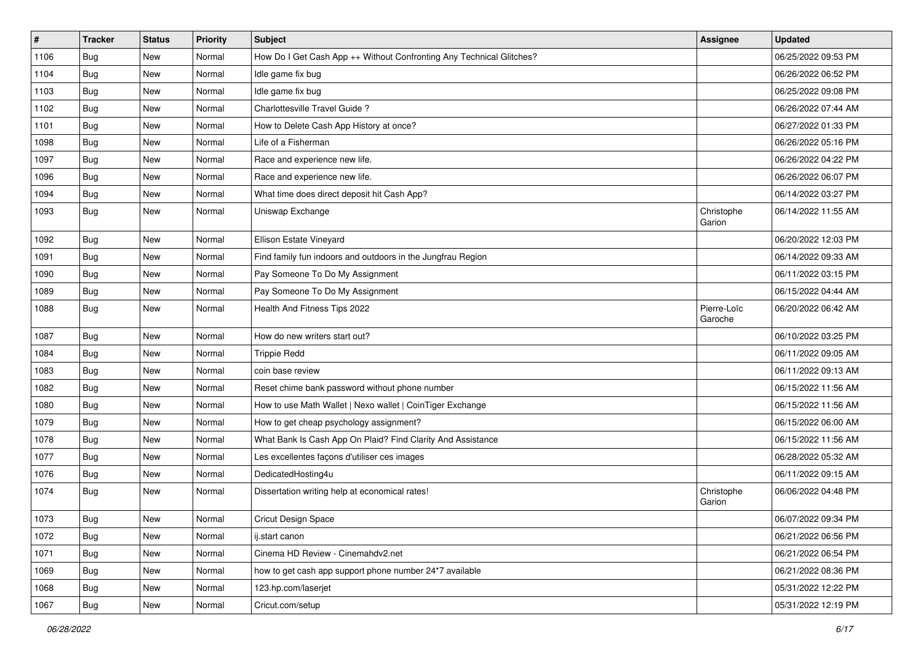| $\pmb{\#}$ | <b>Tracker</b> | <b>Status</b> | Priority | Subject                                                              | <b>Assignee</b>        | <b>Updated</b>      |
|------------|----------------|---------------|----------|----------------------------------------------------------------------|------------------------|---------------------|
| 1106       | <b>Bug</b>     | New           | Normal   | How Do I Get Cash App ++ Without Confronting Any Technical Glitches? |                        | 06/25/2022 09:53 PM |
| 1104       | <b>Bug</b>     | <b>New</b>    | Normal   | Idle game fix bug                                                    |                        | 06/26/2022 06:52 PM |
| 1103       | Bug            | New           | Normal   | Idle game fix bug                                                    |                        | 06/25/2022 09:08 PM |
| 1102       | Bug            | New           | Normal   | Charlottesville Travel Guide?                                        |                        | 06/26/2022 07:44 AM |
| 1101       | Bug            | <b>New</b>    | Normal   | How to Delete Cash App History at once?                              |                        | 06/27/2022 01:33 PM |
| 1098       | <b>Bug</b>     | New           | Normal   | Life of a Fisherman                                                  |                        | 06/26/2022 05:16 PM |
| 1097       | <b>Bug</b>     | New           | Normal   | Race and experience new life.                                        |                        | 06/26/2022 04:22 PM |
| 1096       | Bug            | New           | Normal   | Race and experience new life.                                        |                        | 06/26/2022 06:07 PM |
| 1094       | <b>Bug</b>     | <b>New</b>    | Normal   | What time does direct deposit hit Cash App?                          |                        | 06/14/2022 03:27 PM |
| 1093       | Bug            | New           | Normal   | Uniswap Exchange                                                     | Christophe<br>Garion   | 06/14/2022 11:55 AM |
| 1092       | Bug            | <b>New</b>    | Normal   | Ellison Estate Vineyard                                              |                        | 06/20/2022 12:03 PM |
| 1091       | Bug            | <b>New</b>    | Normal   | Find family fun indoors and outdoors in the Jungfrau Region          |                        | 06/14/2022 09:33 AM |
| 1090       | <b>Bug</b>     | New           | Normal   | Pay Someone To Do My Assignment                                      |                        | 06/11/2022 03:15 PM |
| 1089       | Bug            | New           | Normal   | Pay Someone To Do My Assignment                                      |                        | 06/15/2022 04:44 AM |
| 1088       | <b>Bug</b>     | New           | Normal   | Health And Fitness Tips 2022                                         | Pierre-Loïc<br>Garoche | 06/20/2022 06:42 AM |
| 1087       | <b>Bug</b>     | <b>New</b>    | Normal   | How do new writers start out?                                        |                        | 06/10/2022 03:25 PM |
| 1084       | <b>Bug</b>     | New           | Normal   | <b>Trippie Redd</b>                                                  |                        | 06/11/2022 09:05 AM |
| 1083       | <b>Bug</b>     | New           | Normal   | coin base review                                                     |                        | 06/11/2022 09:13 AM |
| 1082       | Bug            | <b>New</b>    | Normal   | Reset chime bank password without phone number                       |                        | 06/15/2022 11:56 AM |
| 1080       | <b>Bug</b>     | New           | Normal   | How to use Math Wallet   Nexo wallet   CoinTiger Exchange            |                        | 06/15/2022 11:56 AM |
| 1079       | Bug            | New           | Normal   | How to get cheap psychology assignment?                              |                        | 06/15/2022 06:00 AM |
| 1078       | <b>Bug</b>     | New           | Normal   | What Bank Is Cash App On Plaid? Find Clarity And Assistance          |                        | 06/15/2022 11:56 AM |
| 1077       | <b>Bug</b>     | New           | Normal   | Les excellentes façons d'utiliser ces images                         |                        | 06/28/2022 05:32 AM |
| 1076       | Bug            | <b>New</b>    | Normal   | DedicatedHosting4u                                                   |                        | 06/11/2022 09:15 AM |
| 1074       | <b>Bug</b>     | New           | Normal   | Dissertation writing help at economical rates!                       | Christophe<br>Garion   | 06/06/2022 04:48 PM |
| 1073       | Bug            | New           | Normal   | Cricut Design Space                                                  |                        | 06/07/2022 09:34 PM |
| 1072       | <b>Bug</b>     | New           | Normal   | ii.start canon                                                       |                        | 06/21/2022 06:56 PM |
| 1071       | <b>Bug</b>     | New           | Normal   | Cinema HD Review - Cinemahdv2.net                                    |                        | 06/21/2022 06:54 PM |
| 1069       | Bug            | New           | Normal   | how to get cash app support phone number 24*7 available              |                        | 06/21/2022 08:36 PM |
| 1068       | Bug            | New           | Normal   | 123.hp.com/laserjet                                                  |                        | 05/31/2022 12:22 PM |
| 1067       | <b>Bug</b>     | New           | Normal   | Cricut.com/setup                                                     |                        | 05/31/2022 12:19 PM |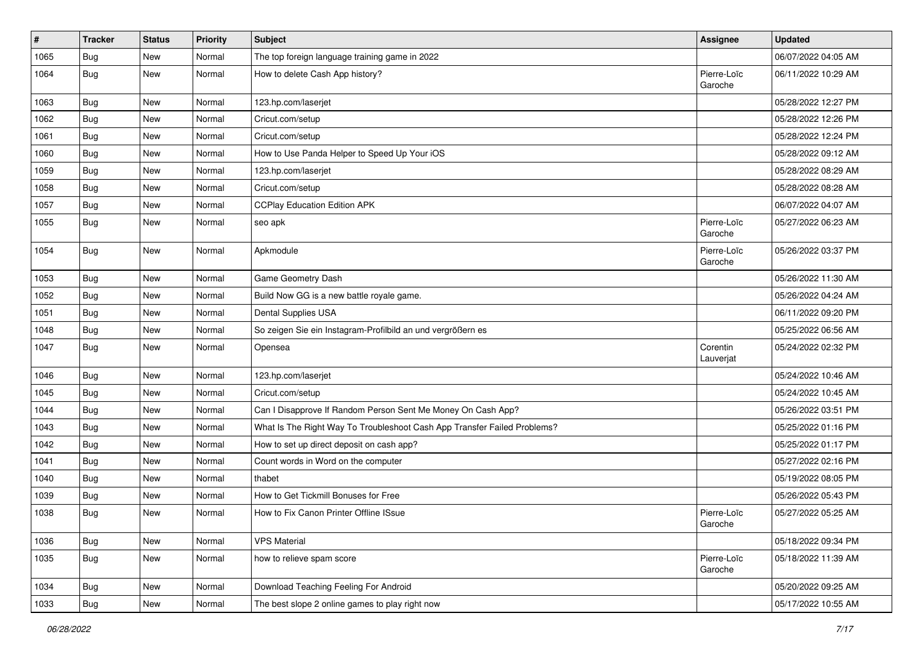| #    | <b>Tracker</b> | <b>Status</b> | <b>Priority</b> | <b>Subject</b>                                                           | Assignee               | <b>Updated</b>      |
|------|----------------|---------------|-----------------|--------------------------------------------------------------------------|------------------------|---------------------|
| 1065 | Bug            | New           | Normal          | The top foreign language training game in 2022                           |                        | 06/07/2022 04:05 AM |
| 1064 | Bug            | New           | Normal          | How to delete Cash App history?                                          | Pierre-Loïc<br>Garoche | 06/11/2022 10:29 AM |
| 1063 | Bug            | <b>New</b>    | Normal          | 123.hp.com/laserjet                                                      |                        | 05/28/2022 12:27 PM |
| 1062 | Bug            | <b>New</b>    | Normal          | Cricut.com/setup                                                         |                        | 05/28/2022 12:26 PM |
| 1061 | Bug            | New           | Normal          | Cricut.com/setup                                                         |                        | 05/28/2022 12:24 PM |
| 1060 | <b>Bug</b>     | <b>New</b>    | Normal          | How to Use Panda Helper to Speed Up Your iOS                             |                        | 05/28/2022 09:12 AM |
| 1059 | <b>Bug</b>     | New           | Normal          | 123.hp.com/laserjet                                                      |                        | 05/28/2022 08:29 AM |
| 1058 | <b>Bug</b>     | New           | Normal          | Cricut.com/setup                                                         |                        | 05/28/2022 08:28 AM |
| 1057 | <b>Bug</b>     | <b>New</b>    | Normal          | <b>CCPlay Education Edition APK</b>                                      |                        | 06/07/2022 04:07 AM |
| 1055 | <b>Bug</b>     | New           | Normal          | seo apk                                                                  | Pierre-Loïc<br>Garoche | 05/27/2022 06:23 AM |
| 1054 | Bug            | <b>New</b>    | Normal          | Apkmodule                                                                | Pierre-Loïc<br>Garoche | 05/26/2022 03:37 PM |
| 1053 | <b>Bug</b>     | <b>New</b>    | Normal          | Game Geometry Dash                                                       |                        | 05/26/2022 11:30 AM |
| 1052 | Bug            | New           | Normal          | Build Now GG is a new battle royale game.                                |                        | 05/26/2022 04:24 AM |
| 1051 | <b>Bug</b>     | New           | Normal          | Dental Supplies USA                                                      |                        | 06/11/2022 09:20 PM |
| 1048 | Bug            | <b>New</b>    | Normal          | So zeigen Sie ein Instagram-Profilbild an und vergrößern es              |                        | 05/25/2022 06:56 AM |
| 1047 | <b>Bug</b>     | New           | Normal          | Opensea                                                                  | Corentin<br>Lauverjat  | 05/24/2022 02:32 PM |
| 1046 | <b>Bug</b>     | <b>New</b>    | Normal          | 123.hp.com/laserjet                                                      |                        | 05/24/2022 10:46 AM |
| 1045 | <b>Bug</b>     | New           | Normal          | Cricut.com/setup                                                         |                        | 05/24/2022 10:45 AM |
| 1044 | Bug            | <b>New</b>    | Normal          | Can I Disapprove If Random Person Sent Me Money On Cash App?             |                        | 05/26/2022 03:51 PM |
| 1043 | <b>Bug</b>     | New           | Normal          | What Is The Right Way To Troubleshoot Cash App Transfer Failed Problems? |                        | 05/25/2022 01:16 PM |
| 1042 | <b>Bug</b>     | New           | Normal          | How to set up direct deposit on cash app?                                |                        | 05/25/2022 01:17 PM |
| 1041 | <b>Bug</b>     | <b>New</b>    | Normal          | Count words in Word on the computer                                      |                        | 05/27/2022 02:16 PM |
| 1040 | <b>Bug</b>     | New           | Normal          | thabet                                                                   |                        | 05/19/2022 08:05 PM |
| 1039 | <b>Bug</b>     | New           | Normal          | How to Get Tickmill Bonuses for Free                                     |                        | 05/26/2022 05:43 PM |
| 1038 | <b>Bug</b>     | New           | Normal          | How to Fix Canon Printer Offline ISsue                                   | Pierre-Loïc<br>Garoche | 05/27/2022 05:25 AM |
| 1036 | <b>Bug</b>     | New           | Normal          | <b>VPS Material</b>                                                      |                        | 05/18/2022 09:34 PM |
| 1035 | <b>Bug</b>     | New           | Normal          | how to relieve spam score                                                | Pierre-Loïc<br>Garoche | 05/18/2022 11:39 AM |
| 1034 | <b>Bug</b>     | New           | Normal          | Download Teaching Feeling For Android                                    |                        | 05/20/2022 09:25 AM |
| 1033 | Bug            | New           | Normal          | The best slope 2 online games to play right now                          |                        | 05/17/2022 10:55 AM |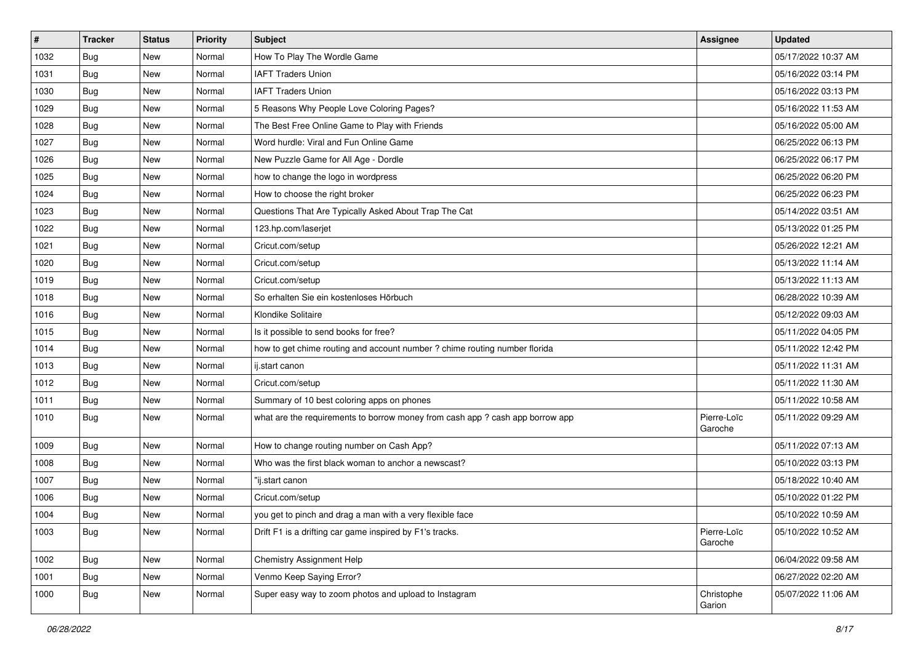| $\pmb{\#}$ | <b>Tracker</b> | <b>Status</b> | <b>Priority</b> | Subject                                                                       | <b>Assignee</b>        | <b>Updated</b>      |
|------------|----------------|---------------|-----------------|-------------------------------------------------------------------------------|------------------------|---------------------|
| 1032       | <b>Bug</b>     | New           | Normal          | How To Play The Wordle Game                                                   |                        | 05/17/2022 10:37 AM |
| 1031       | <b>Bug</b>     | <b>New</b>    | Normal          | <b>IAFT Traders Union</b>                                                     |                        | 05/16/2022 03:14 PM |
| 1030       | Bug            | New           | Normal          | <b>IAFT Traders Union</b>                                                     |                        | 05/16/2022 03:13 PM |
| 1029       | <b>Bug</b>     | New           | Normal          | 5 Reasons Why People Love Coloring Pages?                                     |                        | 05/16/2022 11:53 AM |
| 1028       | <b>Bug</b>     | <b>New</b>    | Normal          | The Best Free Online Game to Play with Friends                                |                        | 05/16/2022 05:00 AM |
| 1027       | <b>Bug</b>     | New           | Normal          | Word hurdle: Viral and Fun Online Game                                        |                        | 06/25/2022 06:13 PM |
| 1026       | <b>Bug</b>     | New           | Normal          | New Puzzle Game for All Age - Dordle                                          |                        | 06/25/2022 06:17 PM |
| 1025       | Bug            | New           | Normal          | how to change the logo in wordpress                                           |                        | 06/25/2022 06:20 PM |
| 1024       | <b>Bug</b>     | <b>New</b>    | Normal          | How to choose the right broker                                                |                        | 06/25/2022 06:23 PM |
| 1023       | Bug            | New           | Normal          | Questions That Are Typically Asked About Trap The Cat                         |                        | 05/14/2022 03:51 AM |
| 1022       | Bug            | New           | Normal          | 123.hp.com/laserjet                                                           |                        | 05/13/2022 01:25 PM |
| 1021       | <b>Bug</b>     | New           | Normal          | Cricut.com/setup                                                              |                        | 05/26/2022 12:21 AM |
| 1020       | Bug            | <b>New</b>    | Normal          | Cricut.com/setup                                                              |                        | 05/13/2022 11:14 AM |
| 1019       | <b>Bug</b>     | New           | Normal          | Cricut.com/setup                                                              |                        | 05/13/2022 11:13 AM |
| 1018       | <b>Bug</b>     | New           | Normal          | So erhalten Sie ein kostenloses Hörbuch                                       |                        | 06/28/2022 10:39 AM |
| 1016       | <b>Bug</b>     | New           | Normal          | Klondike Solitaire                                                            |                        | 05/12/2022 09:03 AM |
| 1015       | Bug            | New           | Normal          | Is it possible to send books for free?                                        |                        | 05/11/2022 04:05 PM |
| 1014       | Bug            | <b>New</b>    | Normal          | how to get chime routing and account number ? chime routing number florida    |                        | 05/11/2022 12:42 PM |
| 1013       | <b>Bug</b>     | New           | Normal          | ij.start canon                                                                |                        | 05/11/2022 11:31 AM |
| 1012       | Bug            | New           | Normal          | Cricut.com/setup                                                              |                        | 05/11/2022 11:30 AM |
| 1011       | Bug            | New           | Normal          | Summary of 10 best coloring apps on phones                                    |                        | 05/11/2022 10:58 AM |
| 1010       | <b>Bug</b>     | New           | Normal          | what are the requirements to borrow money from cash app ? cash app borrow app | Pierre-Loïc<br>Garoche | 05/11/2022 09:29 AM |
| 1009       | Bug            | New           | Normal          | How to change routing number on Cash App?                                     |                        | 05/11/2022 07:13 AM |
| 1008       | Bug            | New           | Normal          | Who was the first black woman to anchor a newscast?                           |                        | 05/10/2022 03:13 PM |
| 1007       | Bug            | <b>New</b>    | Normal          | "ij.start canon                                                               |                        | 05/18/2022 10:40 AM |
| 1006       | <b>Bug</b>     | New           | Normal          | Cricut.com/setup                                                              |                        | 05/10/2022 01:22 PM |
| 1004       | <b>Bug</b>     | <b>New</b>    | Normal          | you get to pinch and drag a man with a very flexible face                     |                        | 05/10/2022 10:59 AM |
| 1003       | <b>Bug</b>     | New           | Normal          | Drift F1 is a drifting car game inspired by F1's tracks.                      | Pierre-Loïc<br>Garoche | 05/10/2022 10:52 AM |
| 1002       | <b>Bug</b>     | New           | Normal          | <b>Chemistry Assignment Help</b>                                              |                        | 06/04/2022 09:58 AM |
| 1001       | <b>Bug</b>     | New           | Normal          | Venmo Keep Saying Error?                                                      |                        | 06/27/2022 02:20 AM |
| 1000       | <b>Bug</b>     | New           | Normal          | Super easy way to zoom photos and upload to Instagram                         | Christophe<br>Garion   | 05/07/2022 11:06 AM |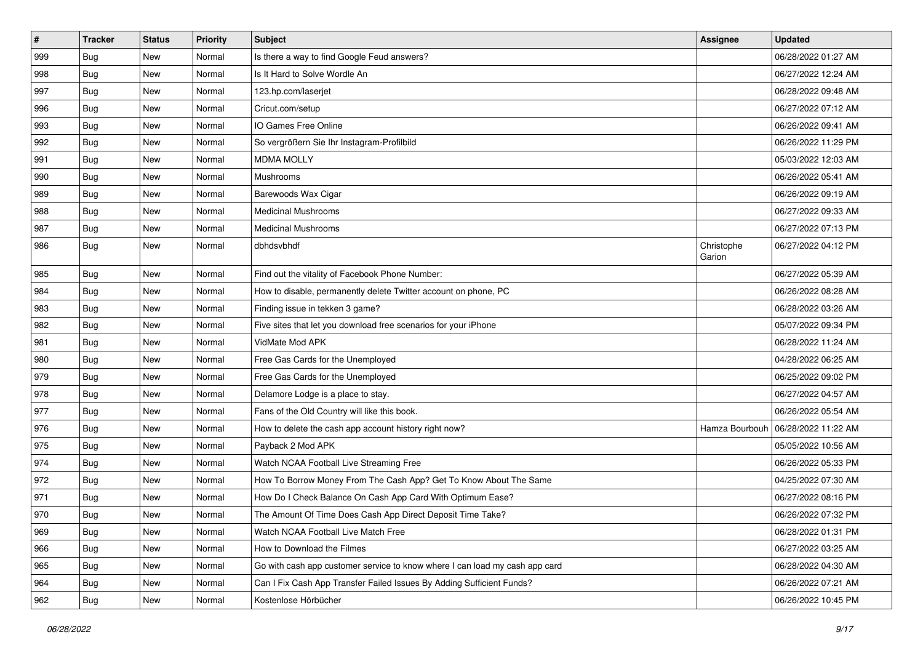| $\vert$ # | <b>Tracker</b> | <b>Status</b> | <b>Priority</b> | Subject                                                                     | <b>Assignee</b>      | <b>Updated</b>      |
|-----------|----------------|---------------|-----------------|-----------------------------------------------------------------------------|----------------------|---------------------|
| 999       | <b>Bug</b>     | New           | Normal          | Is there a way to find Google Feud answers?                                 |                      | 06/28/2022 01:27 AM |
| 998       | <b>Bug</b>     | New           | Normal          | Is It Hard to Solve Wordle An                                               |                      | 06/27/2022 12:24 AM |
| 997       | <b>Bug</b>     | New           | Normal          | 123.hp.com/laserjet                                                         |                      | 06/28/2022 09:48 AM |
| 996       | Bug            | New           | Normal          | Cricut.com/setup                                                            |                      | 06/27/2022 07:12 AM |
| 993       | <b>Bug</b>     | <b>New</b>    | Normal          | IO Games Free Online                                                        |                      | 06/26/2022 09:41 AM |
| 992       | Bug            | New           | Normal          | So vergrößern Sie Ihr Instagram-Profilbild                                  |                      | 06/26/2022 11:29 PM |
| 991       | Bug            | New           | Normal          | <b>MDMA MOLLY</b>                                                           |                      | 05/03/2022 12:03 AM |
| 990       | <b>Bug</b>     | New           | Normal          | Mushrooms                                                                   |                      | 06/26/2022 05:41 AM |
| 989       | Bug            | New           | Normal          | Barewoods Wax Cigar                                                         |                      | 06/26/2022 09:19 AM |
| 988       | Bug            | New           | Normal          | <b>Medicinal Mushrooms</b>                                                  |                      | 06/27/2022 09:33 AM |
| 987       | <b>Bug</b>     | New           | Normal          | <b>Medicinal Mushrooms</b>                                                  |                      | 06/27/2022 07:13 PM |
| 986       | <b>Bug</b>     | New           | Normal          | dbhdsvbhdf                                                                  | Christophe<br>Garion | 06/27/2022 04:12 PM |
| 985       | <b>Bug</b>     | New           | Normal          | Find out the vitality of Facebook Phone Number:                             |                      | 06/27/2022 05:39 AM |
| 984       | <b>Bug</b>     | New           | Normal          | How to disable, permanently delete Twitter account on phone, PC             |                      | 06/26/2022 08:28 AM |
| 983       | Bug            | New           | Normal          | Finding issue in tekken 3 game?                                             |                      | 06/28/2022 03:26 AM |
| 982       | <b>Bug</b>     | New           | Normal          | Five sites that let you download free scenarios for your iPhone             |                      | 05/07/2022 09:34 PM |
| 981       | Bug            | <b>New</b>    | Normal          | VidMate Mod APK                                                             |                      | 06/28/2022 11:24 AM |
| 980       | <b>Bug</b>     | New           | Normal          | Free Gas Cards for the Unemployed                                           |                      | 04/28/2022 06:25 AM |
| 979       | Bug            | New           | Normal          | Free Gas Cards for the Unemployed                                           |                      | 06/25/2022 09:02 PM |
| 978       | Bug            | New           | Normal          | Delamore Lodge is a place to stay.                                          |                      | 06/27/2022 04:57 AM |
| 977       | <b>Bug</b>     | <b>New</b>    | Normal          | Fans of the Old Country will like this book.                                |                      | 06/26/2022 05:54 AM |
| 976       | <b>Bug</b>     | New           | Normal          | How to delete the cash app account history right now?                       | Hamza Bourbouh       | 06/28/2022 11:22 AM |
| 975       | <b>Bug</b>     | New           | Normal          | Payback 2 Mod APK                                                           |                      | 05/05/2022 10:56 AM |
| 974       | <b>Bug</b>     | New           | Normal          | Watch NCAA Football Live Streaming Free                                     |                      | 06/26/2022 05:33 PM |
| 972       | <b>Bug</b>     | <b>New</b>    | Normal          | How To Borrow Money From The Cash App? Get To Know About The Same           |                      | 04/25/2022 07:30 AM |
| 971       | Bug            | New           | Normal          | How Do I Check Balance On Cash App Card With Optimum Ease?                  |                      | 06/27/2022 08:16 PM |
| 970       | <b>Bug</b>     | New           | Normal          | The Amount Of Time Does Cash App Direct Deposit Time Take?                  |                      | 06/26/2022 07:32 PM |
| 969       | <b>Bug</b>     | New           | Normal          | Watch NCAA Football Live Match Free                                         |                      | 06/28/2022 01:31 PM |
| 966       | Bug            | New           | Normal          | How to Download the Filmes                                                  |                      | 06/27/2022 03:25 AM |
| 965       | Bug            | New           | Normal          | Go with cash app customer service to know where I can load my cash app card |                      | 06/28/2022 04:30 AM |
| 964       | <b>Bug</b>     | New           | Normal          | Can I Fix Cash App Transfer Failed Issues By Adding Sufficient Funds?       |                      | 06/26/2022 07:21 AM |
| 962       | <b>Bug</b>     | New           | Normal          | Kostenlose Hörbücher                                                        |                      | 06/26/2022 10:45 PM |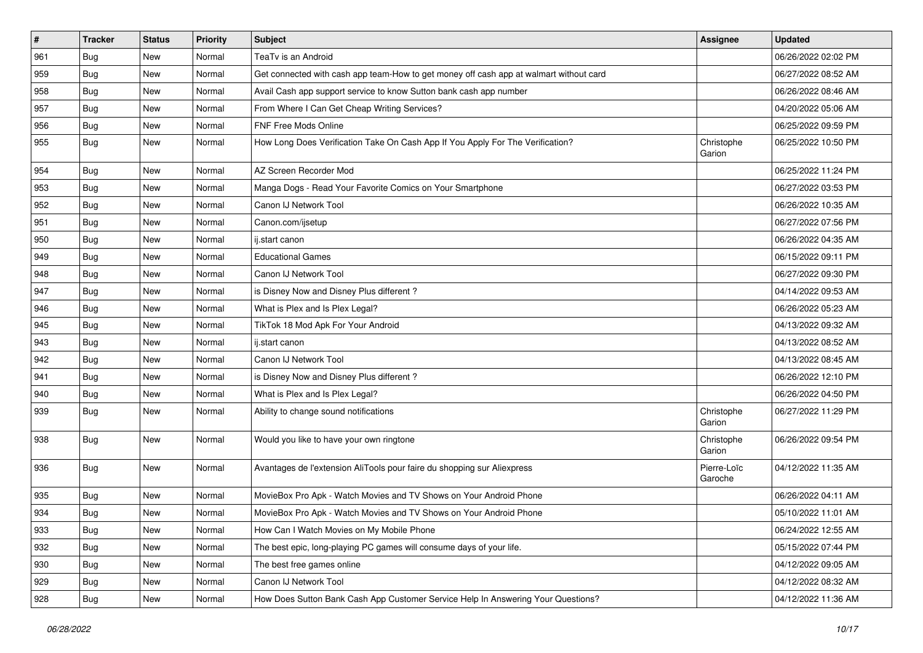| #   | <b>Tracker</b> | <b>Status</b> | <b>Priority</b> | Subject                                                                                | Assignee               | <b>Updated</b>      |
|-----|----------------|---------------|-----------------|----------------------------------------------------------------------------------------|------------------------|---------------------|
| 961 | <b>Bug</b>     | New           | Normal          | TeaTv is an Android                                                                    |                        | 06/26/2022 02:02 PM |
| 959 | Bug            | <b>New</b>    | Normal          | Get connected with cash app team-How to get money off cash app at walmart without card |                        | 06/27/2022 08:52 AM |
| 958 | <b>Bug</b>     | New           | Normal          | Avail Cash app support service to know Sutton bank cash app number                     |                        | 06/26/2022 08:46 AM |
| 957 | <b>Bug</b>     | New           | Normal          | From Where I Can Get Cheap Writing Services?                                           |                        | 04/20/2022 05:06 AM |
| 956 | <b>Bug</b>     | <b>New</b>    | Normal          | FNF Free Mods Online                                                                   |                        | 06/25/2022 09:59 PM |
| 955 | <b>Bug</b>     | <b>New</b>    | Normal          | How Long Does Verification Take On Cash App If You Apply For The Verification?         | Christophe<br>Garion   | 06/25/2022 10:50 PM |
| 954 | <b>Bug</b>     | <b>New</b>    | Normal          | AZ Screen Recorder Mod                                                                 |                        | 06/25/2022 11:24 PM |
| 953 | <b>Bug</b>     | New           | Normal          | Manga Dogs - Read Your Favorite Comics on Your Smartphone                              |                        | 06/27/2022 03:53 PM |
| 952 | <b>Bug</b>     | <b>New</b>    | Normal          | Canon IJ Network Tool                                                                  |                        | 06/26/2022 10:35 AM |
| 951 | Bug            | New           | Normal          | Canon.com/ijsetup                                                                      |                        | 06/27/2022 07:56 PM |
| 950 | <b>Bug</b>     | <b>New</b>    | Normal          | ij.start canon                                                                         |                        | 06/26/2022 04:35 AM |
| 949 | <b>Bug</b>     | <b>New</b>    | Normal          | <b>Educational Games</b>                                                               |                        | 06/15/2022 09:11 PM |
| 948 | Bug            | New           | Normal          | Canon IJ Network Tool                                                                  |                        | 06/27/2022 09:30 PM |
| 947 | <b>Bug</b>     | <b>New</b>    | Normal          | is Disney Now and Disney Plus different?                                               |                        | 04/14/2022 09:53 AM |
| 946 | <b>Bug</b>     | <b>New</b>    | Normal          | What is Plex and Is Plex Legal?                                                        |                        | 06/26/2022 05:23 AM |
| 945 | <b>Bug</b>     | <b>New</b>    | Normal          | TikTok 18 Mod Apk For Your Android                                                     |                        | 04/13/2022 09:32 AM |
| 943 | Bug            | <b>New</b>    | Normal          | ij.start canon                                                                         |                        | 04/13/2022 08:52 AM |
| 942 | <b>Bug</b>     | New           | Normal          | Canon IJ Network Tool                                                                  |                        | 04/13/2022 08:45 AM |
| 941 | <b>Bug</b>     | New           | Normal          | is Disney Now and Disney Plus different?                                               |                        | 06/26/2022 12:10 PM |
| 940 | <b>Bug</b>     | <b>New</b>    | Normal          | What is Plex and Is Plex Legal?                                                        |                        | 06/26/2022 04:50 PM |
| 939 | <b>Bug</b>     | New           | Normal          | Ability to change sound notifications                                                  | Christophe<br>Garion   | 06/27/2022 11:29 PM |
| 938 | <b>Bug</b>     | <b>New</b>    | Normal          | Would you like to have your own ringtone                                               | Christophe<br>Garion   | 06/26/2022 09:54 PM |
| 936 | <b>Bug</b>     | <b>New</b>    | Normal          | Avantages de l'extension AliTools pour faire du shopping sur Aliexpress                | Pierre-Loïc<br>Garoche | 04/12/2022 11:35 AM |
| 935 | Bug            | New           | Normal          | MovieBox Pro Apk - Watch Movies and TV Shows on Your Android Phone                     |                        | 06/26/2022 04:11 AM |
| 934 | <b>Bug</b>     | <b>New</b>    | Normal          | MovieBox Pro Apk - Watch Movies and TV Shows on Your Android Phone                     |                        | 05/10/2022 11:01 AM |
| 933 | Bug            | New           | Normal          | How Can I Watch Movies on My Mobile Phone                                              |                        | 06/24/2022 12:55 AM |
| 932 | <b>Bug</b>     | New           | Normal          | The best epic, long-playing PC games will consume days of your life.                   |                        | 05/15/2022 07:44 PM |
| 930 | <b>Bug</b>     | New           | Normal          | The best free games online                                                             |                        | 04/12/2022 09:05 AM |
| 929 | <b>Bug</b>     | New           | Normal          | Canon IJ Network Tool                                                                  |                        | 04/12/2022 08:32 AM |
| 928 | <b>Bug</b>     | New           | Normal          | How Does Sutton Bank Cash App Customer Service Help In Answering Your Questions?       |                        | 04/12/2022 11:36 AM |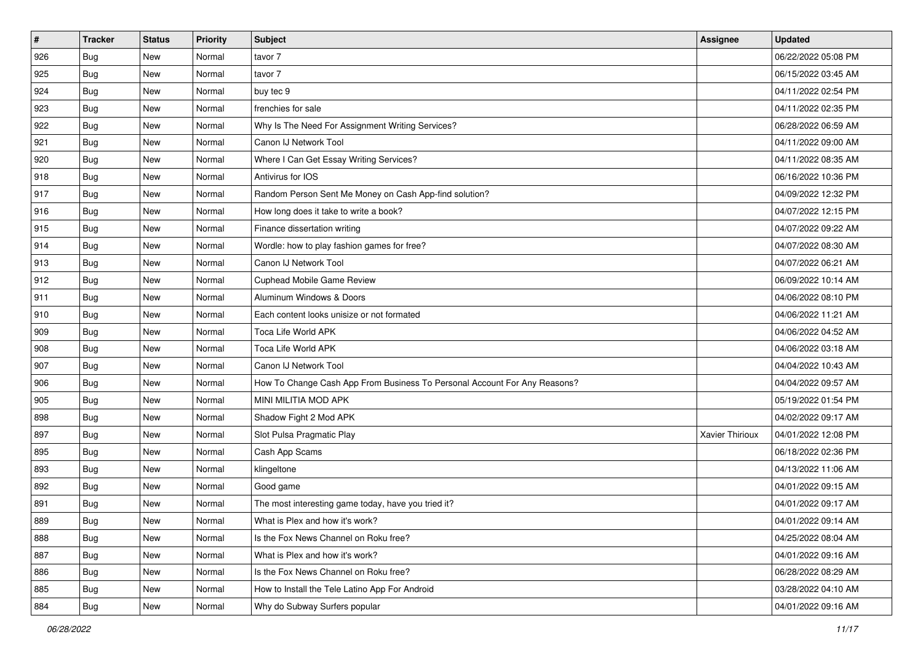| #   | <b>Tracker</b> | <b>Status</b> | <b>Priority</b> | <b>Subject</b>                                                            | <b>Assignee</b> | <b>Updated</b>      |
|-----|----------------|---------------|-----------------|---------------------------------------------------------------------------|-----------------|---------------------|
| 926 | <b>Bug</b>     | New           | Normal          | tavor 7                                                                   |                 | 06/22/2022 05:08 PM |
| 925 | <b>Bug</b>     | New           | Normal          | tavor 7                                                                   |                 | 06/15/2022 03:45 AM |
| 924 | Bug            | New           | Normal          | buy tec 9                                                                 |                 | 04/11/2022 02:54 PM |
| 923 | <b>Bug</b>     | New           | Normal          | frenchies for sale                                                        |                 | 04/11/2022 02:35 PM |
| 922 | <b>Bug</b>     | <b>New</b>    | Normal          | Why Is The Need For Assignment Writing Services?                          |                 | 06/28/2022 06:59 AM |
| 921 | Bug            | New           | Normal          | Canon IJ Network Tool                                                     |                 | 04/11/2022 09:00 AM |
| 920 | <b>Bug</b>     | New           | Normal          | Where I Can Get Essay Writing Services?                                   |                 | 04/11/2022 08:35 AM |
| 918 | <b>Bug</b>     | New           | Normal          | Antivirus for IOS                                                         |                 | 06/16/2022 10:36 PM |
| 917 | Bug            | New           | Normal          | Random Person Sent Me Money on Cash App-find solution?                    |                 | 04/09/2022 12:32 PM |
| 916 | Bug            | New           | Normal          | How long does it take to write a book?                                    |                 | 04/07/2022 12:15 PM |
| 915 | <b>Bug</b>     | New           | Normal          | Finance dissertation writing                                              |                 | 04/07/2022 09:22 AM |
| 914 | Bug            | New           | Normal          | Wordle: how to play fashion games for free?                               |                 | 04/07/2022 08:30 AM |
| 913 | Bug            | <b>New</b>    | Normal          | Canon IJ Network Tool                                                     |                 | 04/07/2022 06:21 AM |
| 912 | <b>Bug</b>     | New           | Normal          | Cuphead Mobile Game Review                                                |                 | 06/09/2022 10:14 AM |
| 911 | <b>Bug</b>     | New           | Normal          | Aluminum Windows & Doors                                                  |                 | 04/06/2022 08:10 PM |
| 910 | <b>Bug</b>     | New           | Normal          | Each content looks unisize or not formated                                |                 | 04/06/2022 11:21 AM |
| 909 | <b>Bug</b>     | New           | Normal          | Toca Life World APK                                                       |                 | 04/06/2022 04:52 AM |
| 908 | <b>Bug</b>     | <b>New</b>    | Normal          | Toca Life World APK                                                       |                 | 04/06/2022 03:18 AM |
| 907 | <b>Bug</b>     | New           | Normal          | Canon IJ Network Tool                                                     |                 | 04/04/2022 10:43 AM |
| 906 | <b>Bug</b>     | New           | Normal          | How To Change Cash App From Business To Personal Account For Any Reasons? |                 | 04/04/2022 09:57 AM |
| 905 | Bug            | New           | Normal          | MINI MILITIA MOD APK                                                      |                 | 05/19/2022 01:54 PM |
| 898 | <b>Bug</b>     | New           | Normal          | Shadow Fight 2 Mod APK                                                    |                 | 04/02/2022 09:17 AM |
| 897 | Bug            | <b>New</b>    | Normal          | Slot Pulsa Pragmatic Play                                                 | Xavier Thirioux | 04/01/2022 12:08 PM |
| 895 | <b>Bug</b>     | New           | Normal          | Cash App Scams                                                            |                 | 06/18/2022 02:36 PM |
| 893 | <b>Bug</b>     | New           | Normal          | klingeltone                                                               |                 | 04/13/2022 11:06 AM |
| 892 | Bug            | New           | Normal          | Good game                                                                 |                 | 04/01/2022 09:15 AM |
| 891 | <b>Bug</b>     | New           | Normal          | The most interesting game today, have you tried it?                       |                 | 04/01/2022 09:17 AM |
| 889 | <b>Bug</b>     | New           | Normal          | What is Plex and how it's work?                                           |                 | 04/01/2022 09:14 AM |
| 888 | <b>Bug</b>     | New           | Normal          | Is the Fox News Channel on Roku free?                                     |                 | 04/25/2022 08:04 AM |
| 887 | <b>Bug</b>     | New           | Normal          | What is Plex and how it's work?                                           |                 | 04/01/2022 09:16 AM |
| 886 | Bug            | New           | Normal          | Is the Fox News Channel on Roku free?                                     |                 | 06/28/2022 08:29 AM |
| 885 | Bug            | New           | Normal          | How to Install the Tele Latino App For Android                            |                 | 03/28/2022 04:10 AM |
| 884 | <b>Bug</b>     | New           | Normal          | Why do Subway Surfers popular                                             |                 | 04/01/2022 09:16 AM |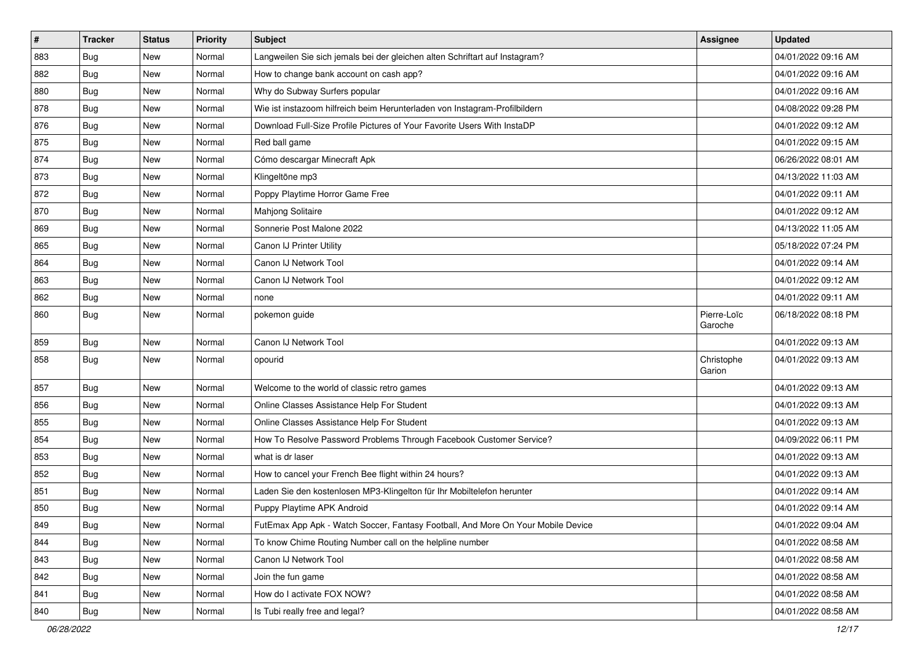| #   | <b>Tracker</b> | <b>Status</b> | <b>Priority</b> | Subject                                                                          | <b>Assignee</b>        | <b>Updated</b>      |
|-----|----------------|---------------|-----------------|----------------------------------------------------------------------------------|------------------------|---------------------|
| 883 | <b>Bug</b>     | New           | Normal          | Langweilen Sie sich jemals bei der gleichen alten Schriftart auf Instagram?      |                        | 04/01/2022 09:16 AM |
| 882 | Bug            | New           | Normal          | How to change bank account on cash app?                                          |                        | 04/01/2022 09:16 AM |
| 880 | Bug            | New           | Normal          | Why do Subway Surfers popular                                                    |                        | 04/01/2022 09:16 AM |
| 878 | <b>Bug</b>     | New           | Normal          | Wie ist instazoom hilfreich beim Herunterladen von Instagram-Profilbildern       |                        | 04/08/2022 09:28 PM |
| 876 | <b>Bug</b>     | New           | Normal          | Download Full-Size Profile Pictures of Your Favorite Users With InstaDP          |                        | 04/01/2022 09:12 AM |
| 875 | <b>Bug</b>     | New           | Normal          | Red ball game                                                                    |                        | 04/01/2022 09:15 AM |
| 874 | Bug            | New           | Normal          | Cómo descargar Minecraft Apk                                                     |                        | 06/26/2022 08:01 AM |
| 873 | Bug            | <b>New</b>    | Normal          | Klingeltöne mp3                                                                  |                        | 04/13/2022 11:03 AM |
| 872 | <b>Bug</b>     | New           | Normal          | Poppy Playtime Horror Game Free                                                  |                        | 04/01/2022 09:11 AM |
| 870 | Bug            | New           | Normal          | Mahjong Solitaire                                                                |                        | 04/01/2022 09:12 AM |
| 869 | <b>Bug</b>     | New           | Normal          | Sonnerie Post Malone 2022                                                        |                        | 04/13/2022 11:05 AM |
| 865 | <b>Bug</b>     | New           | Normal          | Canon IJ Printer Utility                                                         |                        | 05/18/2022 07:24 PM |
| 864 | Bug            | <b>New</b>    | Normal          | Canon IJ Network Tool                                                            |                        | 04/01/2022 09:14 AM |
| 863 | Bug            | New           | Normal          | Canon IJ Network Tool                                                            |                        | 04/01/2022 09:12 AM |
| 862 | <b>Bug</b>     | New           | Normal          | none                                                                             |                        | 04/01/2022 09:11 AM |
| 860 | <b>Bug</b>     | New           | Normal          | pokemon guide                                                                    | Pierre-Loïc<br>Garoche | 06/18/2022 08:18 PM |
| 859 | Bug            | <b>New</b>    | Normal          | Canon IJ Network Tool                                                            |                        | 04/01/2022 09:13 AM |
| 858 | <b>Bug</b>     | New           | Normal          | opourid                                                                          | Christophe<br>Garion   | 04/01/2022 09:13 AM |
| 857 | <b>Bug</b>     | <b>New</b>    | Normal          | Welcome to the world of classic retro games                                      |                        | 04/01/2022 09:13 AM |
| 856 | Bug            | New           | Normal          | Online Classes Assistance Help For Student                                       |                        | 04/01/2022 09:13 AM |
| 855 | Bug            | New           | Normal          | Online Classes Assistance Help For Student                                       |                        | 04/01/2022 09:13 AM |
| 854 | <b>Bug</b>     | New           | Normal          | How To Resolve Password Problems Through Facebook Customer Service?              |                        | 04/09/2022 06:11 PM |
| 853 | <b>Bug</b>     | New           | Normal          | what is dr laser                                                                 |                        | 04/01/2022 09:13 AM |
| 852 | Bug            | New           | Normal          | How to cancel your French Bee flight within 24 hours?                            |                        | 04/01/2022 09:13 AM |
| 851 | <b>Bug</b>     | New           | Normal          | Laden Sie den kostenlosen MP3-Klingelton für Ihr Mobiltelefon herunter           |                        | 04/01/2022 09:14 AM |
| 850 | <b>Bug</b>     | New           | Normal          | Puppy Playtime APK Android                                                       |                        | 04/01/2022 09:14 AM |
| 849 | Bug            | New           | Normal          | FutEmax App Apk - Watch Soccer, Fantasy Football, And More On Your Mobile Device |                        | 04/01/2022 09:04 AM |
| 844 | Bug            | New           | Normal          | To know Chime Routing Number call on the helpline number                         |                        | 04/01/2022 08:58 AM |
| 843 | Bug            | New           | Normal          | Canon IJ Network Tool                                                            |                        | 04/01/2022 08:58 AM |
| 842 | <b>Bug</b>     | New           | Normal          | Join the fun game                                                                |                        | 04/01/2022 08:58 AM |
| 841 | Bug            | New           | Normal          | How do I activate FOX NOW?                                                       |                        | 04/01/2022 08:58 AM |
| 840 | Bug            | New           | Normal          | Is Tubi really free and legal?                                                   |                        | 04/01/2022 08:58 AM |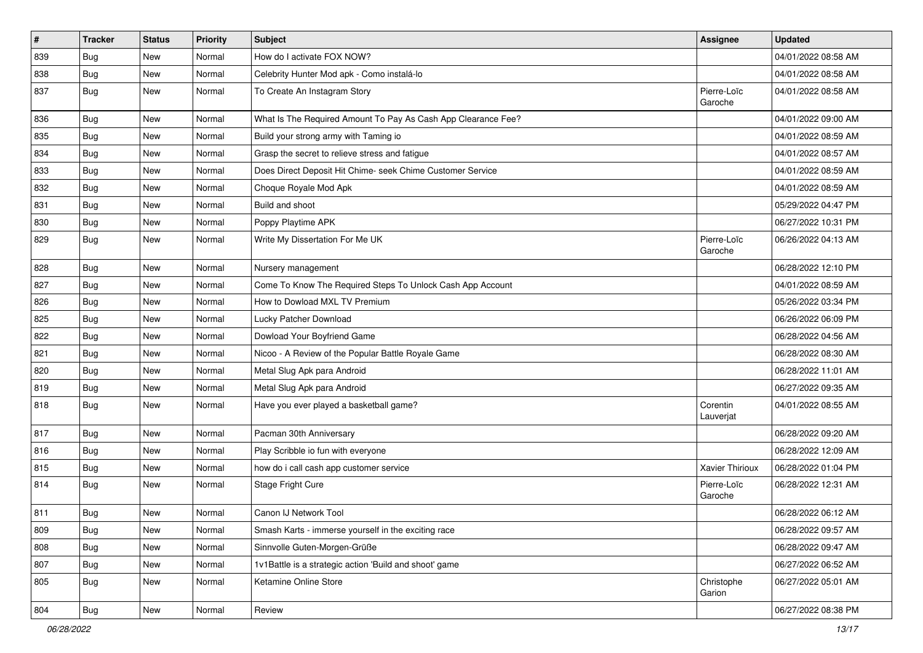| $\pmb{\#}$ | <b>Tracker</b> | <b>Status</b> | <b>Priority</b> | <b>Subject</b>                                                | Assignee               | <b>Updated</b>      |
|------------|----------------|---------------|-----------------|---------------------------------------------------------------|------------------------|---------------------|
| 839        | <b>Bug</b>     | New           | Normal          | How do I activate FOX NOW?                                    |                        | 04/01/2022 08:58 AM |
| 838        | <b>Bug</b>     | New           | Normal          | Celebrity Hunter Mod apk - Como instalá-lo                    |                        | 04/01/2022 08:58 AM |
| 837        | Bug            | New           | Normal          | To Create An Instagram Story                                  | Pierre-Loïc<br>Garoche | 04/01/2022 08:58 AM |
| 836        | Bug            | <b>New</b>    | Normal          | What Is The Required Amount To Pay As Cash App Clearance Fee? |                        | 04/01/2022 09:00 AM |
| 835        | Bug            | New           | Normal          | Build your strong army with Taming io                         |                        | 04/01/2022 08:59 AM |
| 834        | <b>Bug</b>     | <b>New</b>    | Normal          | Grasp the secret to relieve stress and fatigue                |                        | 04/01/2022 08:57 AM |
| 833        | Bug            | New           | Normal          | Does Direct Deposit Hit Chime- seek Chime Customer Service    |                        | 04/01/2022 08:59 AM |
| 832        | <b>Bug</b>     | New           | Normal          | Choque Royale Mod Apk                                         |                        | 04/01/2022 08:59 AM |
| 831        | <b>Bug</b>     | <b>New</b>    | Normal          | Build and shoot                                               |                        | 05/29/2022 04:47 PM |
| 830        | Bug            | New           | Normal          | Poppy Playtime APK                                            |                        | 06/27/2022 10:31 PM |
| 829        | <b>Bug</b>     | New           | Normal          | Write My Dissertation For Me UK                               | Pierre-Loïc<br>Garoche | 06/26/2022 04:13 AM |
| 828        | <b>Bug</b>     | New           | Normal          | Nursery management                                            |                        | 06/28/2022 12:10 PM |
| 827        | Bug            | New           | Normal          | Come To Know The Required Steps To Unlock Cash App Account    |                        | 04/01/2022 08:59 AM |
| 826        | <b>Bug</b>     | New           | Normal          | How to Dowload MXL TV Premium                                 |                        | 05/26/2022 03:34 PM |
| 825        | <b>Bug</b>     | New           | Normal          | Lucky Patcher Download                                        |                        | 06/26/2022 06:09 PM |
| 822        | <b>Bug</b>     | <b>New</b>    | Normal          | Dowload Your Boyfriend Game                                   |                        | 06/28/2022 04:56 AM |
| 821        | <b>Bug</b>     | New           | Normal          | Nicoo - A Review of the Popular Battle Royale Game            |                        | 06/28/2022 08:30 AM |
| 820        | Bug            | New           | Normal          | Metal Slug Apk para Android                                   |                        | 06/28/2022 11:01 AM |
| 819        | <b>Bug</b>     | <b>New</b>    | Normal          | Metal Slug Apk para Android                                   |                        | 06/27/2022 09:35 AM |
| 818        | <b>Bug</b>     | New           | Normal          | Have you ever played a basketball game?                       | Corentin<br>Lauverjat  | 04/01/2022 08:55 AM |
| 817        | Bug            | New           | Normal          | Pacman 30th Anniversary                                       |                        | 06/28/2022 09:20 AM |
| 816        | <b>Bug</b>     | <b>New</b>    | Normal          | Play Scribble io fun with everyone                            |                        | 06/28/2022 12:09 AM |
| 815        | Bug            | <b>New</b>    | Normal          | how do i call cash app customer service                       | Xavier Thirioux        | 06/28/2022 01:04 PM |
| 814        | <b>Bug</b>     | New           | Normal          | Stage Fright Cure                                             | Pierre-Loïc<br>Garoche | 06/28/2022 12:31 AM |
| 811        | Bug            | <b>New</b>    | Normal          | Canon IJ Network Tool                                         |                        | 06/28/2022 06:12 AM |
| 809        | Bug            | New           | Normal          | Smash Karts - immerse yourself in the exciting race           |                        | 06/28/2022 09:57 AM |
| 808        | Bug            | New           | Normal          | Sinnvolle Guten-Morgen-Grüße                                  |                        | 06/28/2022 09:47 AM |
| 807        | <b>Bug</b>     | New           | Normal          | 1v1Battle is a strategic action 'Build and shoot' game        |                        | 06/27/2022 06:52 AM |
| 805        | Bug            | New           | Normal          | Ketamine Online Store                                         | Christophe<br>Garion   | 06/27/2022 05:01 AM |
| 804        | <b>Bug</b>     | New           | Normal          | Review                                                        |                        | 06/27/2022 08:38 PM |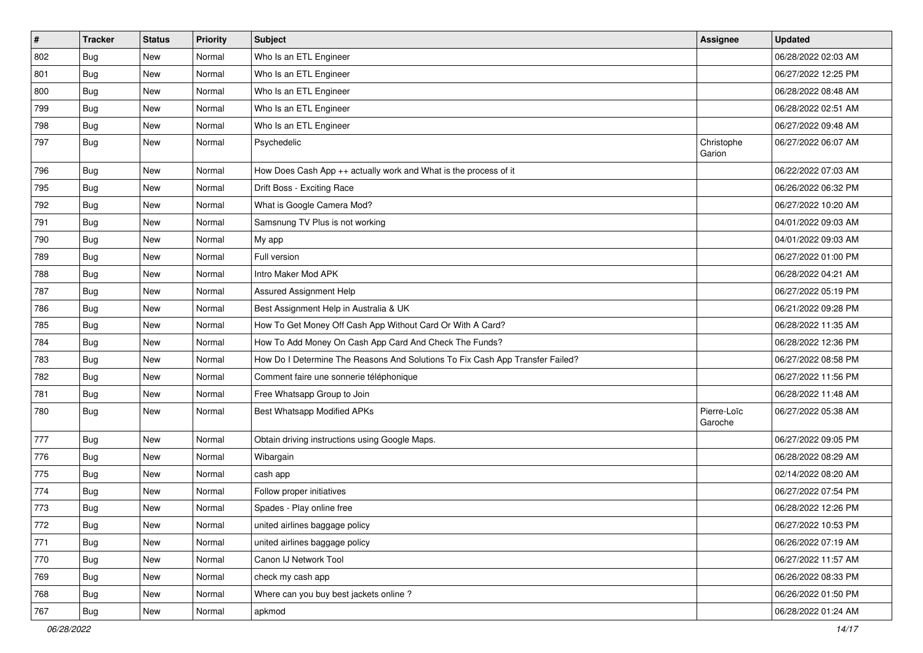| $\pmb{\#}$ | <b>Tracker</b> | <b>Status</b> | <b>Priority</b> | <b>Subject</b>                                                                | <b>Assignee</b>        | <b>Updated</b>      |
|------------|----------------|---------------|-----------------|-------------------------------------------------------------------------------|------------------------|---------------------|
| 802        | <b>Bug</b>     | New           | Normal          | Who Is an ETL Engineer                                                        |                        | 06/28/2022 02:03 AM |
| 801        | Bug            | <b>New</b>    | Normal          | Who Is an ETL Engineer                                                        |                        | 06/27/2022 12:25 PM |
| 800        | Bug            | New           | Normal          | Who Is an ETL Engineer                                                        |                        | 06/28/2022 08:48 AM |
| 799        | <b>Bug</b>     | New           | Normal          | Who Is an ETL Engineer                                                        |                        | 06/28/2022 02:51 AM |
| 798        | <b>Bug</b>     | <b>New</b>    | Normal          | Who Is an ETL Engineer                                                        |                        | 06/27/2022 09:48 AM |
| 797        | <b>Bug</b>     | New           | Normal          | Psychedelic                                                                   | Christophe<br>Garion   | 06/27/2022 06:07 AM |
| 796        | Bug            | New           | Normal          | How Does Cash App ++ actually work and What is the process of it              |                        | 06/22/2022 07:03 AM |
| 795        | <b>Bug</b>     | New           | Normal          | Drift Boss - Exciting Race                                                    |                        | 06/26/2022 06:32 PM |
| 792        | Bug            | <b>New</b>    | Normal          | What is Google Camera Mod?                                                    |                        | 06/27/2022 10:20 AM |
| 791        | Bug            | New           | Normal          | Samsnung TV Plus is not working                                               |                        | 04/01/2022 09:03 AM |
| 790        | Bug            | New           | Normal          | My app                                                                        |                        | 04/01/2022 09:03 AM |
| 789        | Bug            | <b>New</b>    | Normal          | Full version                                                                  |                        | 06/27/2022 01:00 PM |
| 788        | <b>Bug</b>     | New           | Normal          | Intro Maker Mod APK                                                           |                        | 06/28/2022 04:21 AM |
| 787        | Bug            | <b>New</b>    | Normal          | Assured Assignment Help                                                       |                        | 06/27/2022 05:19 PM |
| 786        | Bug            | New           | Normal          | Best Assignment Help in Australia & UK                                        |                        | 06/21/2022 09:28 PM |
| 785        | <b>Bug</b>     | New           | Normal          | How To Get Money Off Cash App Without Card Or With A Card?                    |                        | 06/28/2022 11:35 AM |
| 784        | Bug            | <b>New</b>    | Normal          | How To Add Money On Cash App Card And Check The Funds?                        |                        | 06/28/2022 12:36 PM |
| 783        | Bug            | New           | Normal          | How Do I Determine The Reasons And Solutions To Fix Cash App Transfer Failed? |                        | 06/27/2022 08:58 PM |
| 782        | <b>Bug</b>     | New           | Normal          | Comment faire une sonnerie téléphonique                                       |                        | 06/27/2022 11:56 PM |
| 781        | Bug            | New           | Normal          | Free Whatsapp Group to Join                                                   |                        | 06/28/2022 11:48 AM |
| 780        | Bug            | New           | Normal          | Best Whatsapp Modified APKs                                                   | Pierre-Loïc<br>Garoche | 06/27/2022 05:38 AM |
| 777        | <b>Bug</b>     | New           | Normal          | Obtain driving instructions using Google Maps.                                |                        | 06/27/2022 09:05 PM |
| 776        | Bug            | New           | Normal          | Wibargain                                                                     |                        | 06/28/2022 08:29 AM |
| 775        | Bug            | <b>New</b>    | Normal          | cash app                                                                      |                        | 02/14/2022 08:20 AM |
| 774        | <b>Bug</b>     | New           | Normal          | Follow proper initiatives                                                     |                        | 06/27/2022 07:54 PM |
| 773        | <b>Bug</b>     | New           | Normal          | Spades - Play online free                                                     |                        | 06/28/2022 12:26 PM |
| 772        | Bug            | New           | Normal          | united airlines baggage policy                                                |                        | 06/27/2022 10:53 PM |
| 771        | Bug            | New           | Normal          | united airlines baggage policy                                                |                        | 06/26/2022 07:19 AM |
| 770        | <b>Bug</b>     | New           | Normal          | Canon IJ Network Tool                                                         |                        | 06/27/2022 11:57 AM |
| 769        | <b>Bug</b>     | New           | Normal          | check my cash app                                                             |                        | 06/26/2022 08:33 PM |
| 768        | <b>Bug</b>     | New           | Normal          | Where can you buy best jackets online?                                        |                        | 06/26/2022 01:50 PM |
| 767        | <b>Bug</b>     | New           | Normal          | apkmod                                                                        |                        | 06/28/2022 01:24 AM |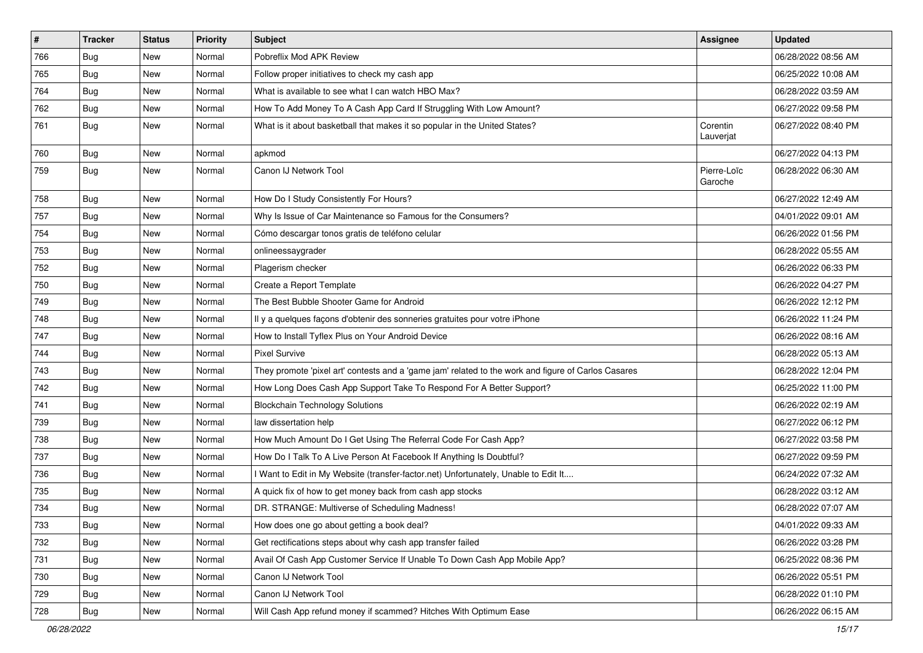| $\sharp$ | <b>Tracker</b> | <b>Status</b> | <b>Priority</b> | Subject                                                                                             | <b>Assignee</b>        | <b>Updated</b>      |
|----------|----------------|---------------|-----------------|-----------------------------------------------------------------------------------------------------|------------------------|---------------------|
| 766      | <b>Bug</b>     | New           | Normal          | Pobreflix Mod APK Review                                                                            |                        | 06/28/2022 08:56 AM |
| 765      | Bug            | <b>New</b>    | Normal          | Follow proper initiatives to check my cash app                                                      |                        | 06/25/2022 10:08 AM |
| 764      | Bug            | New           | Normal          | What is available to see what I can watch HBO Max?                                                  |                        | 06/28/2022 03:59 AM |
| 762      | <b>Bug</b>     | New           | Normal          | How To Add Money To A Cash App Card If Struggling With Low Amount?                                  |                        | 06/27/2022 09:58 PM |
| 761      | Bug            | New           | Normal          | What is it about basketball that makes it so popular in the United States?                          | Corentin<br>Lauverjat  | 06/27/2022 08:40 PM |
| 760      | Bug            | <b>New</b>    | Normal          | apkmod                                                                                              |                        | 06/27/2022 04:13 PM |
| 759      | Bug            | New           | Normal          | Canon IJ Network Tool                                                                               | Pierre-Loïc<br>Garoche | 06/28/2022 06:30 AM |
| 758      | Bug            | <b>New</b>    | Normal          | How Do I Study Consistently For Hours?                                                              |                        | 06/27/2022 12:49 AM |
| 757      | <b>Bug</b>     | New           | Normal          | Why Is Issue of Car Maintenance so Famous for the Consumers?                                        |                        | 04/01/2022 09:01 AM |
| 754      | <b>Bug</b>     | New           | Normal          | Cómo descargar tonos gratis de teléfono celular                                                     |                        | 06/26/2022 01:56 PM |
| 753      | Bug            | <b>New</b>    | Normal          | onlineessaygrader                                                                                   |                        | 06/28/2022 05:55 AM |
| 752      | <b>Bug</b>     | New           | Normal          | Plagerism checker                                                                                   |                        | 06/26/2022 06:33 PM |
| 750      | <b>Bug</b>     | New           | Normal          | Create a Report Template                                                                            |                        | 06/26/2022 04:27 PM |
| 749      | <b>Bug</b>     | New           | Normal          | The Best Bubble Shooter Game for Android                                                            |                        | 06/26/2022 12:12 PM |
| 748      | <b>Bug</b>     | New           | Normal          | Il y a quelques façons d'obtenir des sonneries gratuites pour votre iPhone                          |                        | 06/26/2022 11:24 PM |
| 747      | Bug            | New           | Normal          | How to Install Tyflex Plus on Your Android Device                                                   |                        | 06/26/2022 08:16 AM |
| 744      | <b>Bug</b>     | New           | Normal          | <b>Pixel Survive</b>                                                                                |                        | 06/28/2022 05:13 AM |
| 743      | Bug            | New           | Normal          | They promote 'pixel art' contests and a 'game jam' related to the work and figure of Carlos Casares |                        | 06/28/2022 12:04 PM |
| 742      | <b>Bug</b>     | New           | Normal          | How Long Does Cash App Support Take To Respond For A Better Support?                                |                        | 06/25/2022 11:00 PM |
| 741      | <b>Bug</b>     | New           | Normal          | <b>Blockchain Technology Solutions</b>                                                              |                        | 06/26/2022 02:19 AM |
| 739      | Bug            | New           | Normal          | law dissertation help                                                                               |                        | 06/27/2022 06:12 PM |
| 738      | <b>Bug</b>     | New           | Normal          | How Much Amount Do I Get Using The Referral Code For Cash App?                                      |                        | 06/27/2022 03:58 PM |
| 737      | <b>Bug</b>     | New           | Normal          | How Do I Talk To A Live Person At Facebook If Anything Is Doubtful?                                 |                        | 06/27/2022 09:59 PM |
| 736      | Bug            | <b>New</b>    | Normal          | I Want to Edit in My Website (transfer-factor.net) Unfortunately, Unable to Edit It                 |                        | 06/24/2022 07:32 AM |
| 735      | <b>Bug</b>     | New           | Normal          | A quick fix of how to get money back from cash app stocks                                           |                        | 06/28/2022 03:12 AM |
| 734      | <b>Bug</b>     | <b>New</b>    | Normal          | DR. STRANGE: Multiverse of Scheduling Madness!                                                      |                        | 06/28/2022 07:07 AM |
| 733      | Bug            | New           | Normal          | How does one go about getting a book deal?                                                          |                        | 04/01/2022 09:33 AM |
| 732      | <b>Bug</b>     | New           | Normal          | Get rectifications steps about why cash app transfer failed                                         |                        | 06/26/2022 03:28 PM |
| 731      | Bug            | New           | Normal          | Avail Of Cash App Customer Service If Unable To Down Cash App Mobile App?                           |                        | 06/25/2022 08:36 PM |
| 730      | <b>Bug</b>     | New           | Normal          | Canon IJ Network Tool                                                                               |                        | 06/26/2022 05:51 PM |
| 729      | <b>Bug</b>     | New           | Normal          | Canon IJ Network Tool                                                                               |                        | 06/28/2022 01:10 PM |
| 728      | Bug            | New           | Normal          | Will Cash App refund money if scammed? Hitches With Optimum Ease                                    |                        | 06/26/2022 06:15 AM |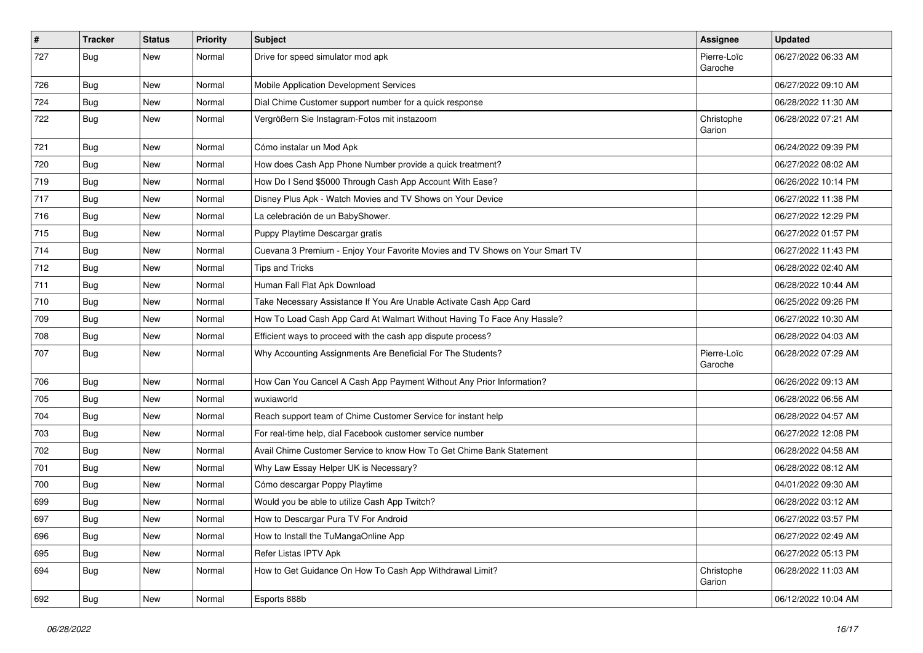| $\pmb{\#}$ | <b>Tracker</b> | <b>Status</b> | <b>Priority</b> | <b>Subject</b>                                                               | <b>Assignee</b>        | <b>Updated</b>      |
|------------|----------------|---------------|-----------------|------------------------------------------------------------------------------|------------------------|---------------------|
| 727        | <b>Bug</b>     | New           | Normal          | Drive for speed simulator mod apk                                            | Pierre-Loïc<br>Garoche | 06/27/2022 06:33 AM |
| 726        | <b>Bug</b>     | New           | Normal          | Mobile Application Development Services                                      |                        | 06/27/2022 09:10 AM |
| 724        | <b>Bug</b>     | New           | Normal          | Dial Chime Customer support number for a quick response                      |                        | 06/28/2022 11:30 AM |
| 722        | Bug            | New           | Normal          | Vergrößern Sie Instagram-Fotos mit instazoom                                 | Christophe<br>Garion   | 06/28/2022 07:21 AM |
| 721        | <b>Bug</b>     | <b>New</b>    | Normal          | Cómo instalar un Mod Apk                                                     |                        | 06/24/2022 09:39 PM |
| 720        | <b>Bug</b>     | New           | Normal          | How does Cash App Phone Number provide a quick treatment?                    |                        | 06/27/2022 08:02 AM |
| 719        | Bug            | New           | Normal          | How Do I Send \$5000 Through Cash App Account With Ease?                     |                        | 06/26/2022 10:14 PM |
| 717        | Bug            | <b>New</b>    | Normal          | Disney Plus Apk - Watch Movies and TV Shows on Your Device                   |                        | 06/27/2022 11:38 PM |
| 716        | <b>Bug</b>     | New           | Normal          | La celebración de un BabyShower.                                             |                        | 06/27/2022 12:29 PM |
| 715        | <b>Bug</b>     | New           | Normal          | Puppy Playtime Descargar gratis                                              |                        | 06/27/2022 01:57 PM |
| 714        | <b>Bug</b>     | New           | Normal          | Cuevana 3 Premium - Enjoy Your Favorite Movies and TV Shows on Your Smart TV |                        | 06/27/2022 11:43 PM |
| 712        | <b>Bug</b>     | New           | Normal          | Tips and Tricks                                                              |                        | 06/28/2022 02:40 AM |
| 711        | <b>Bug</b>     | New           | Normal          | Human Fall Flat Apk Download                                                 |                        | 06/28/2022 10:44 AM |
| 710        | <b>Bug</b>     | New           | Normal          | Take Necessary Assistance If You Are Unable Activate Cash App Card           |                        | 06/25/2022 09:26 PM |
| 709        | <b>Bug</b>     | New           | Normal          | How To Load Cash App Card At Walmart Without Having To Face Any Hassle?      |                        | 06/27/2022 10:30 AM |
| 708        | <b>Bug</b>     | New           | Normal          | Efficient ways to proceed with the cash app dispute process?                 |                        | 06/28/2022 04:03 AM |
| 707        | <b>Bug</b>     | New           | Normal          | Why Accounting Assignments Are Beneficial For The Students?                  | Pierre-Loïc<br>Garoche | 06/28/2022 07:29 AM |
| 706        | Bug            | New           | Normal          | How Can You Cancel A Cash App Payment Without Any Prior Information?         |                        | 06/26/2022 09:13 AM |
| 705        | <b>Bug</b>     | New           | Normal          | wuxiaworld                                                                   |                        | 06/28/2022 06:56 AM |
| 704        | Bug            | <b>New</b>    | Normal          | Reach support team of Chime Customer Service for instant help                |                        | 06/28/2022 04:57 AM |
| 703        | <b>Bug</b>     | New           | Normal          | For real-time help, dial Facebook customer service number                    |                        | 06/27/2022 12:08 PM |
| 702        | <b>Bug</b>     | New           | Normal          | Avail Chime Customer Service to know How To Get Chime Bank Statement         |                        | 06/28/2022 04:58 AM |
| 701        | <b>Bug</b>     | New           | Normal          | Why Law Essay Helper UK is Necessary?                                        |                        | 06/28/2022 08:12 AM |
| 700        | <b>Bug</b>     | New           | Normal          | Cómo descargar Poppy Playtime                                                |                        | 04/01/2022 09:30 AM |
| 699        | <b>Bug</b>     | New           | Normal          | Would you be able to utilize Cash App Twitch?                                |                        | 06/28/2022 03:12 AM |
| 697        | Bug            | New           | Normal          | How to Descargar Pura TV For Android                                         |                        | 06/27/2022 03:57 PM |
| 696        | <b>Bug</b>     | New           | Normal          | How to Install the TuMangaOnline App                                         |                        | 06/27/2022 02:49 AM |
| 695        | <b>Bug</b>     | New           | Normal          | Refer Listas IPTV Apk                                                        |                        | 06/27/2022 05:13 PM |
| 694        | <b>Bug</b>     | New           | Normal          | How to Get Guidance On How To Cash App Withdrawal Limit?                     | Christophe<br>Garion   | 06/28/2022 11:03 AM |
| 692        | <b>Bug</b>     | New           | Normal          | Esports 888b                                                                 |                        | 06/12/2022 10:04 AM |